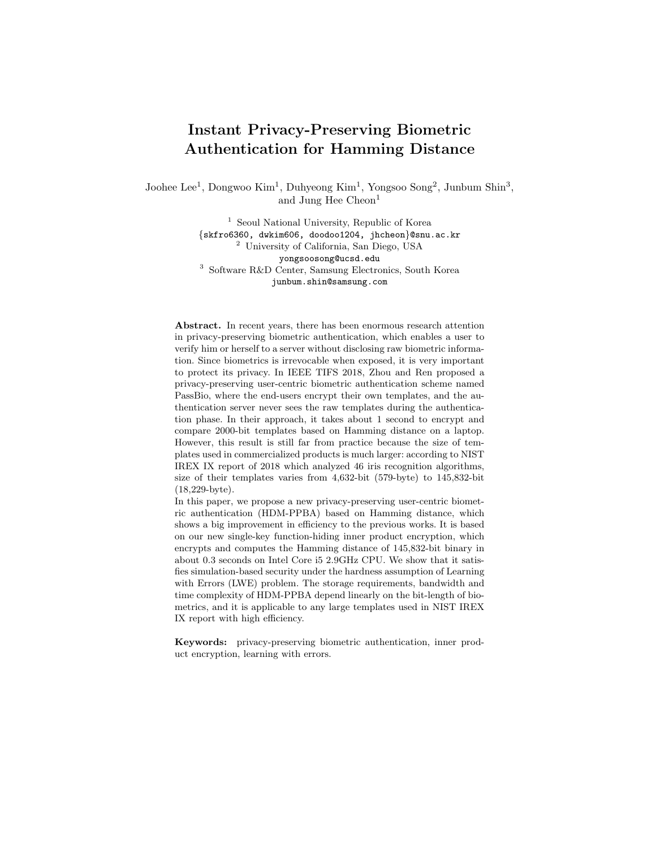# Instant Privacy-Preserving Biometric Authentication for Hamming Distance

Joohee Lee<sup>1</sup>, Dongwoo Kim<sup>1</sup>, Duhyeong Kim<sup>1</sup>, Yongsoo Song<sup>2</sup>, Junbum Shin<sup>3</sup>, and Jung Hee Cheon<sup>1</sup>

> <sup>1</sup> Seoul National University, Republic of Korea {skfro6360, dwkim606, doodoo1204, jhcheon}@snu.ac.kr <sup>2</sup> University of California, San Diego, USA yongsoosong@ucsd.edu <sup>3</sup> Software R&D Center, Samsung Electronics, South Korea junbum.shin@samsung.com

Abstract. In recent years, there has been enormous research attention in privacy-preserving biometric authentication, which enables a user to verify him or herself to a server without disclosing raw biometric information. Since biometrics is irrevocable when exposed, it is very important to protect its privacy. In IEEE TIFS 2018, Zhou and Ren proposed a privacy-preserving user-centric biometric authentication scheme named PassBio, where the end-users encrypt their own templates, and the authentication server never sees the raw templates during the authentication phase. In their approach, it takes about 1 second to encrypt and compare 2000-bit templates based on Hamming distance on a laptop. However, this result is still far from practice because the size of templates used in commercialized products is much larger: according to NIST IREX IX report of 2018 which analyzed 46 iris recognition algorithms, size of their templates varies from 4,632-bit (579-byte) to 145,832-bit (18,229-byte).

In this paper, we propose a new privacy-preserving user-centric biometric authentication (HDM-PPBA) based on Hamming distance, which shows a big improvement in efficiency to the previous works. It is based on our new single-key function-hiding inner product encryption, which encrypts and computes the Hamming distance of 145,832-bit binary in about 0.3 seconds on Intel Core i5 2.9GHz CPU. We show that it satisfies simulation-based security under the hardness assumption of Learning with Errors (LWE) problem. The storage requirements, bandwidth and time complexity of HDM-PPBA depend linearly on the bit-length of biometrics, and it is applicable to any large templates used in NIST IREX IX report with high efficiency.

Keywords: privacy-preserving biometric authentication, inner product encryption, learning with errors.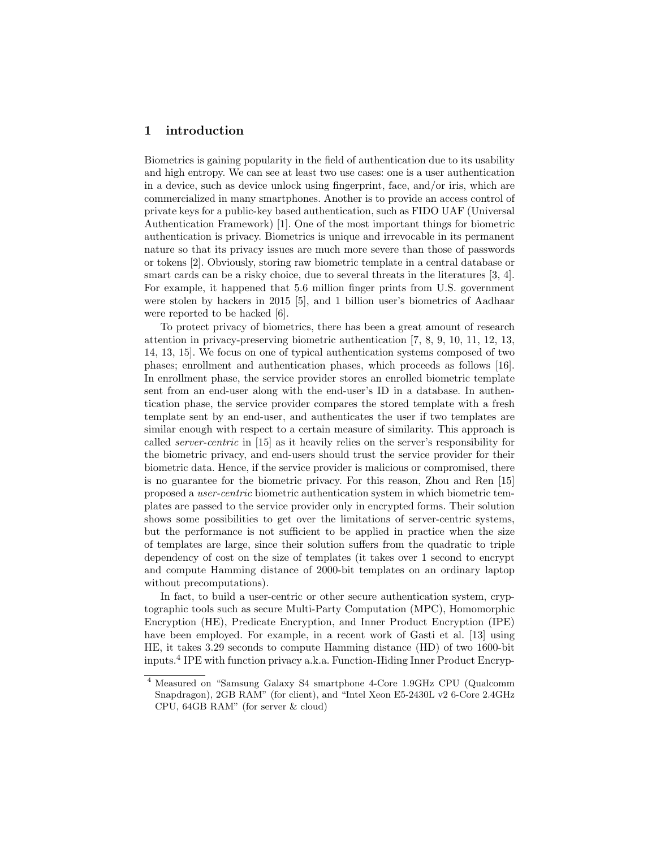# 1 introduction

Biometrics is gaining popularity in the field of authentication due to its usability and high entropy. We can see at least two use cases: one is a user authentication in a device, such as device unlock using fingerprint, face, and/or iris, which are commercialized in many smartphones. Another is to provide an access control of private keys for a public-key based authentication, such as FIDO UAF (Universal Authentication Framework) [1]. One of the most important things for biometric authentication is privacy. Biometrics is unique and irrevocable in its permanent nature so that its privacy issues are much more severe than those of passwords or tokens [2]. Obviously, storing raw biometric template in a central database or smart cards can be a risky choice, due to several threats in the literatures [3, 4]. For example, it happened that 5.6 million finger prints from U.S. government were stolen by hackers in 2015 [5], and 1 billion user's biometrics of Aadhaar were reported to be hacked [6].

To protect privacy of biometrics, there has been a great amount of research attention in privacy-preserving biometric authentication [7, 8, 9, 10, 11, 12, 13, 14, 13, 15]. We focus on one of typical authentication systems composed of two phases; enrollment and authentication phases, which proceeds as follows [16]. In enrollment phase, the service provider stores an enrolled biometric template sent from an end-user along with the end-user's ID in a database. In authentication phase, the service provider compares the stored template with a fresh template sent by an end-user, and authenticates the user if two templates are similar enough with respect to a certain measure of similarity. This approach is called server-centric in [15] as it heavily relies on the server's responsibility for the biometric privacy, and end-users should trust the service provider for their biometric data. Hence, if the service provider is malicious or compromised, there is no guarantee for the biometric privacy. For this reason, Zhou and Ren [15] proposed a user-centric biometric authentication system in which biometric templates are passed to the service provider only in encrypted forms. Their solution shows some possibilities to get over the limitations of server-centric systems, but the performance is not sufficient to be applied in practice when the size of templates are large, since their solution suffers from the quadratic to triple dependency of cost on the size of templates (it takes over 1 second to encrypt and compute Hamming distance of 2000-bit templates on an ordinary laptop without precomputations).

In fact, to build a user-centric or other secure authentication system, cryptographic tools such as secure Multi-Party Computation (MPC), Homomorphic Encryption (HE), Predicate Encryption, and Inner Product Encryption (IPE) have been employed. For example, in a recent work of Gasti et al. [13] using HE, it takes 3.29 seconds to compute Hamming distance (HD) of two 1600-bit inputs.<sup>4</sup> IPE with function privacy a.k.a. Function-Hiding Inner Product Encryp-

<sup>4</sup> Measured on "Samsung Galaxy S4 smartphone 4-Core 1.9GHz CPU (Qualcomm Snapdragon), 2GB RAM" (for client), and "Intel Xeon E5-2430L v2 6-Core 2.4GHz CPU, 64GB RAM" (for server & cloud)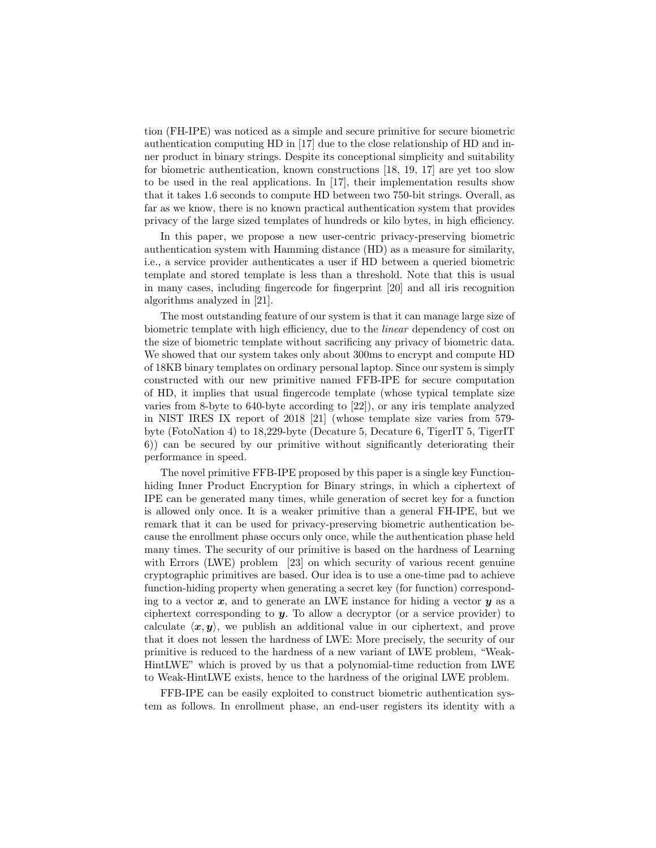tion (FH-IPE) was noticed as a simple and secure primitive for secure biometric authentication computing HD in [17] due to the close relationship of HD and inner product in binary strings. Despite its conceptional simplicity and suitability for biometric authentication, known constructions [18, 19, 17] are yet too slow to be used in the real applications. In [17], their implementation results show that it takes 1.6 seconds to compute HD between two 750-bit strings. Overall, as far as we know, there is no known practical authentication system that provides privacy of the large sized templates of hundreds or kilo bytes, in high efficiency.

In this paper, we propose a new user-centric privacy-preserving biometric authentication system with Hamming distance (HD) as a measure for similarity, i.e., a service provider authenticates a user if HD between a queried biometric template and stored template is less than a threshold. Note that this is usual in many cases, including fingercode for fingerprint [20] and all iris recognition algorithms analyzed in [21].

The most outstanding feature of our system is that it can manage large size of biometric template with high efficiency, due to the linear dependency of cost on the size of biometric template without sacrificing any privacy of biometric data. We showed that our system takes only about 300ms to encrypt and compute HD of 18KB binary templates on ordinary personal laptop. Since our system is simply constructed with our new primitive named FFB-IPE for secure computation of HD, it implies that usual fingercode template (whose typical template size varies from 8-byte to 640-byte according to [22]), or any iris template analyzed in NIST IRES IX report of 2018 [21] (whose template size varies from 579 byte (FotoNation 4) to 18,229-byte (Decature 5, Decature 6, TigerIT 5, TigerIT 6)) can be secured by our primitive without significantly deteriorating their performance in speed.

The novel primitive FFB-IPE proposed by this paper is a single key Functionhiding Inner Product Encryption for Binary strings, in which a ciphertext of IPE can be generated many times, while generation of secret key for a function is allowed only once. It is a weaker primitive than a general FH-IPE, but we remark that it can be used for privacy-preserving biometric authentication because the enrollment phase occurs only once, while the authentication phase held many times. The security of our primitive is based on the hardness of Learning with Errors (LWE) problem [23] on which security of various recent genuine cryptographic primitives are based. Our idea is to use a one-time pad to achieve function-hiding property when generating a secret key (for function) corresponding to a vector  $x$ , and to generate an LWE instance for hiding a vector  $y$  as a ciphertext corresponding to  $y$ . To allow a decryptor (or a service provider) to calculate  $\langle x, y \rangle$ , we publish an additional value in our ciphertext, and prove that it does not lessen the hardness of LWE: More precisely, the security of our primitive is reduced to the hardness of a new variant of LWE problem, "Weak-HintLWE" which is proved by us that a polynomial-time reduction from LWE to Weak-HintLWE exists, hence to the hardness of the original LWE problem.

FFB-IPE can be easily exploited to construct biometric authentication system as follows. In enrollment phase, an end-user registers its identity with a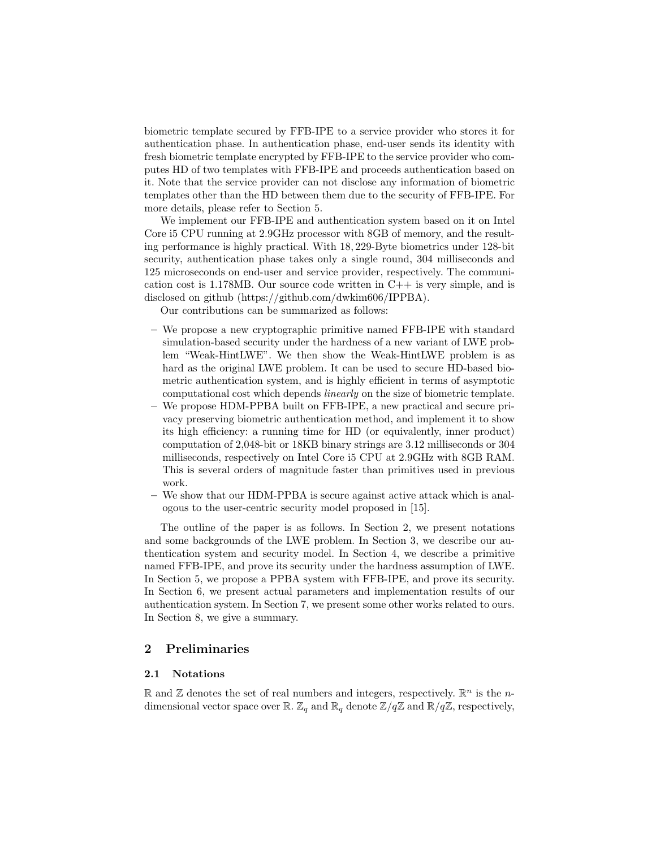biometric template secured by FFB-IPE to a service provider who stores it for authentication phase. In authentication phase, end-user sends its identity with fresh biometric template encrypted by FFB-IPE to the service provider who computes HD of two templates with FFB-IPE and proceeds authentication based on it. Note that the service provider can not disclose any information of biometric templates other than the HD between them due to the security of FFB-IPE. For more details, please refer to Section 5.

We implement our FFB-IPE and authentication system based on it on Intel Core i5 CPU running at 2.9GHz processor with 8GB of memory, and the resulting performance is highly practical. With 18, 229-Byte biometrics under 128-bit security, authentication phase takes only a single round, 304 milliseconds and 125 microseconds on end-user and service provider, respectively. The communication cost is  $1.178MB$ . Our source code written in  $C++$  is very simple, and is disclosed on github (https://github.com/dwkim606/IPPBA).

Our contributions can be summarized as follows:

- We propose a new cryptographic primitive named FFB-IPE with standard simulation-based security under the hardness of a new variant of LWE problem "Weak-HintLWE". We then show the Weak-HintLWE problem is as hard as the original LWE problem. It can be used to secure HD-based biometric authentication system, and is highly efficient in terms of asymptotic computational cost which depends linearly on the size of biometric template.
- We propose HDM-PPBA built on FFB-IPE, a new practical and secure privacy preserving biometric authentication method, and implement it to show its high efficiency: a running time for HD (or equivalently, inner product) computation of 2,048-bit or 18KB binary strings are 3.12 milliseconds or 304 milliseconds, respectively on Intel Core i5 CPU at 2.9GHz with 8GB RAM. This is several orders of magnitude faster than primitives used in previous work.
- We show that our HDM-PPBA is secure against active attack which is analogous to the user-centric security model proposed in [15].

The outline of the paper is as follows. In Section 2, we present notations and some backgrounds of the LWE problem. In Section 3, we describe our authentication system and security model. In Section 4, we describe a primitive named FFB-IPE, and prove its security under the hardness assumption of LWE. In Section 5, we propose a PPBA system with FFB-IPE, and prove its security. In Section 6, we present actual parameters and implementation results of our authentication system. In Section 7, we present some other works related to ours. In Section 8, we give a summary.

# 2 Preliminaries

### 2.1 Notations

 $\mathbb R$  and  $\mathbb Z$  denotes the set of real numbers and integers, respectively.  $\mathbb R^n$  is the *n*dimensional vector space over  $\mathbb{R}$ .  $\mathbb{Z}_q$  and  $\mathbb{R}_q$  denote  $\mathbb{Z}/q\mathbb{Z}$  and  $\mathbb{R}/q\mathbb{Z}$ , respectively,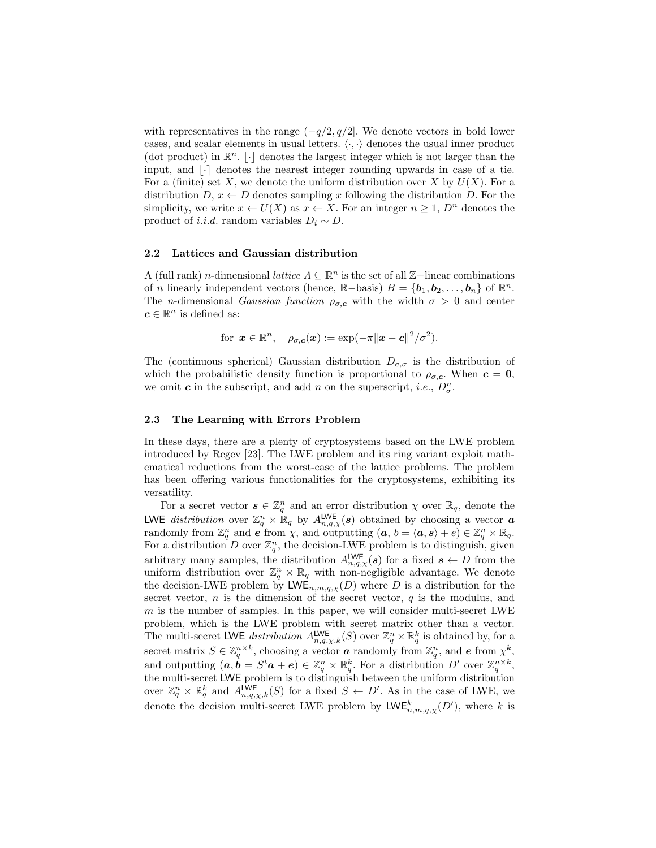with representatives in the range  $(-q/2, q/2]$ . We denote vectors in bold lower cases, and scalar elements in usual letters.  $\langle \cdot, \cdot \rangle$  denotes the usual inner product (dot product) in  $\mathbb{R}^n$ .  $\lfloor \cdot \rfloor$  denotes the largest integer which is not larger than the input, and  $\lvert \cdot \rvert$  denotes the nearest integer rounding upwards in case of a tie. For a (finite) set X, we denote the uniform distribution over X by  $U(X)$ . For a distribution  $D, x \leftarrow D$  denotes sampling x following the distribution D. For the simplicity, we write  $x \leftarrow U(X)$  as  $x \leftarrow X$ . For an integer  $n \geq 1$ ,  $D^n$  denotes the product of *i.i.d.* random variables  $D_i \sim D$ .

#### 2.2 Lattices and Gaussian distribution

A (full rank) *n*-dimensional *lattice*  $\Lambda \subseteq \mathbb{R}^n$  is the set of all  $\mathbb{Z}-$ linear combinations of *n* linearly independent vectors (hence,  $\mathbb{R}-$ basis)  $B = \{b_1, b_2, \ldots, b_n\}$  of  $\mathbb{R}^n$ . The *n*-dimensional *Gaussian function*  $\rho_{\sigma,c}$  with the width  $\sigma > 0$  and center  $c \in \mathbb{R}^n$  is defined as:

for 
$$
\mathbf{x} \in \mathbb{R}^n
$$
,  $\rho_{\sigma, \mathbf{c}}(\mathbf{x}) := \exp(-\pi ||\mathbf{x} - \mathbf{c}||^2 / \sigma^2)$ .

The (continuous spherical) Gaussian distribution  $D_{c,\sigma}$  is the distribution of which the probabilistic density function is proportional to  $\rho_{\sigma,c}$ . When  $c = 0$ , we omit **c** in the subscript, and add n on the superscript, *i.e.*,  $D_{\sigma}^{n}$ .

#### 2.3 The Learning with Errors Problem

In these days, there are a plenty of cryptosystems based on the LWE problem introduced by Regev [23]. The LWE problem and its ring variant exploit mathematical reductions from the worst-case of the lattice problems. The problem has been offering various functionalities for the cryptosystems, exhibiting its versatility.

For a secret vector  $\mathbf{s} \in \mathbb{Z}_q^n$  and an error distribution  $\chi$  over  $\mathbb{R}_q$ , denote the **LWE** distribution over  $\mathbb{Z}_q^n \times \mathbb{R}_q$  by  $A_{n,q,\chi}^{\text{LWE}}(s)$  obtained by choosing a vector a randomly from  $\mathbb{Z}_q^n$  and  $e$  from  $\chi$ , and outputting  $(a, b = \langle a, s \rangle + e) \in \mathbb{Z}_q^n \times \mathbb{R}_q$ . For a distribution D over  $\mathbb{Z}_q^n$ , the decision-LWE problem is to distinguish, given arbitrary many samples, the distribution  $A_{n,q,\chi}^{\text{LWE}}(s)$  for a fixed  $s \leftarrow D$  from the uniform distribution over  $\mathbb{Z}_q^n \times \mathbb{R}_q$  with non-negligible advantage. We denote the decision-LWE problem by  $LWE_{n,m,q,\chi}(D)$  where D is a distribution for the secret vector,  $n$  is the dimension of the secret vector,  $q$  is the modulus, and  $m$  is the number of samples. In this paper, we will consider multi-secret LWE problem, which is the LWE problem with secret matrix other than a vector. The multi-secret LWE distribution  $A_{n,q,\chi,k}^{\text{LWE}}(S)$  over  $\mathbb{Z}_q^n \times \mathbb{R}_q^k$  is obtained by, for a secret matrix  $S \in \mathbb{Z}_q^{n \times k}$ , choosing a vector **a** randomly from  $\mathbb{Z}_q^n$ , and **e** from  $\chi^k$ , and outputting  $(a, \dot{b} = S^t a + e) \in \mathbb{Z}_q^n \times \mathbb{R}_q^k$ . For a distribution  $D'$  over  $\mathbb{Z}_q^{n \times k}$ , the multi-secret LWE problem is to distinguish between the uniform distribution over  $\mathbb{Z}_q^n \times \mathbb{R}_q^k$  and  $A_{n,q,\chi,k}^{\text{LWE}}(S)$  for a fixed  $S \leftarrow D'$ . As in the case of LWE, we denote the decision multi-secret LWE problem by  $LWE_{n,m,q,\chi}^k(D')$ , where k is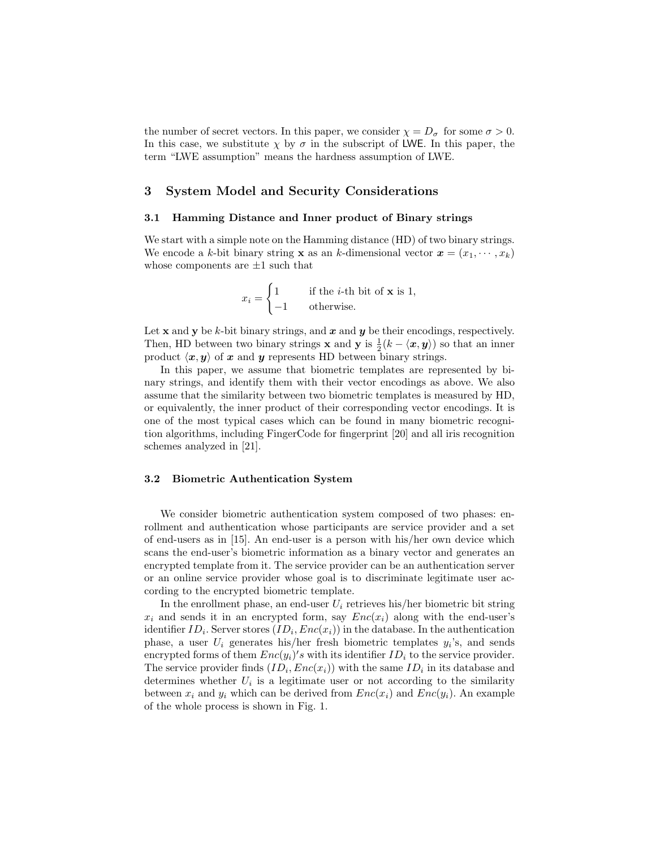the number of secret vectors. In this paper, we consider  $\chi = D_{\sigma}$  for some  $\sigma > 0$ . In this case, we substitute  $\chi$  by  $\sigma$  in the subscript of LWE. In this paper, the term "LWE assumption" means the hardness assumption of LWE.

# 3 System Model and Security Considerations

#### 3.1 Hamming Distance and Inner product of Binary strings

We start with a simple note on the Hamming distance (HD) of two binary strings. We encode a k-bit binary string **x** as an k-dimensional vector  $\mathbf{x} = (x_1, \dots, x_k)$ whose components are  $\pm 1$  such that

$$
x_i = \begin{cases} 1 & \text{if the } i\text{-th bit of } \mathbf{x} \text{ is } 1, \\ -1 & \text{otherwise.} \end{cases}
$$

Let **x** and **y** be k-bit binary strings, and **x** and **y** be their encodings, respectively. Then, HD between two binary strings **x** and **y** is  $\frac{1}{2}(k - \langle x, y \rangle)$  so that an inner product  $\langle x, y \rangle$  of x and y represents HD between binary strings.

In this paper, we assume that biometric templates are represented by binary strings, and identify them with their vector encodings as above. We also assume that the similarity between two biometric templates is measured by HD, or equivalently, the inner product of their corresponding vector encodings. It is one of the most typical cases which can be found in many biometric recognition algorithms, including FingerCode for fingerprint [20] and all iris recognition schemes analyzed in [21].

#### 3.2 Biometric Authentication System

We consider biometric authentication system composed of two phases: enrollment and authentication whose participants are service provider and a set of end-users as in [15]. An end-user is a person with his/her own device which scans the end-user's biometric information as a binary vector and generates an encrypted template from it. The service provider can be an authentication server or an online service provider whose goal is to discriminate legitimate user according to the encrypted biometric template.

In the enrollment phase, an end-user  $U_i$  retrieves his/her biometric bit string  $x_i$  and sends it in an encrypted form, say  $Enc(x_i)$  along with the end-user's identifier  $ID_i$ . Server stores  $(ID_i, Enc(x_i))$  in the database. In the authentication phase, a user  $U_i$  generates his/her fresh biometric templates  $y_i$ 's, and sends encrypted forms of them  $Enc(y_i)'s$  with its identifier  $ID_i$  to the service provider. The service provider finds  $(ID_i, Enc(x_i))$  with the same  $ID_i$  in its database and determines whether  $U_i$  is a legitimate user or not according to the similarity between  $x_i$  and  $y_i$  which can be derived from  $Enc(x_i)$  and  $Enc(y_i)$ . An example of the whole process is shown in Fig. 1.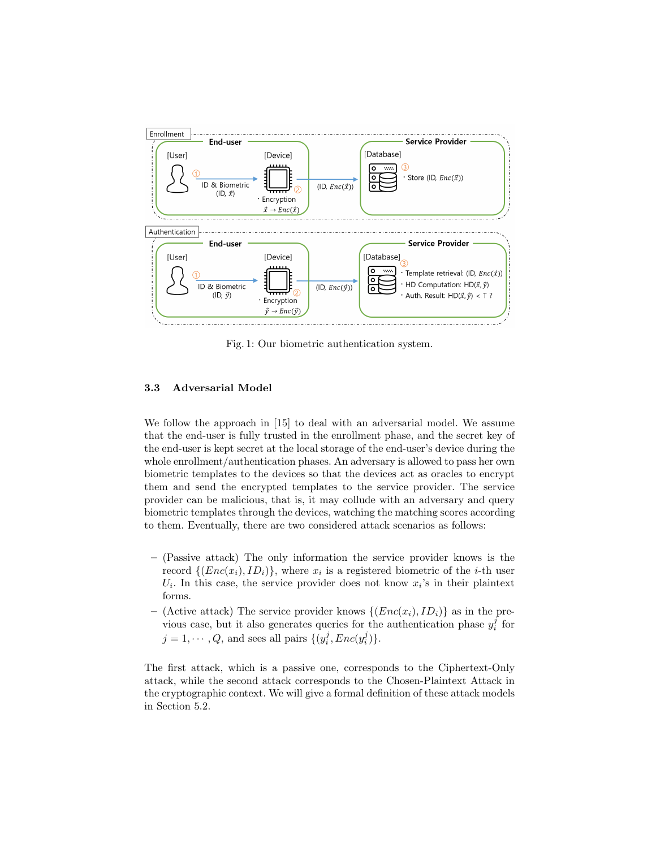

Fig. 1: Our biometric authentication system.

# 3.3 Adversarial Model

We follow the approach in [15] to deal with an adversarial model. We assume that the end-user is fully trusted in the enrollment phase, and the secret key of the end-user is kept secret at the local storage of the end-user's device during the whole enrollment/authentication phases. An adversary is allowed to pass her own biometric templates to the devices so that the devices act as oracles to encrypt them and send the encrypted templates to the service provider. The service provider can be malicious, that is, it may collude with an adversary and query biometric templates through the devices, watching the matching scores according to them. Eventually, there are two considered attack scenarios as follows:

- (Passive attack) The only information the service provider knows is the record  $\{(Enc(x_i), ID_i)\}\$ , where  $x_i$  is a registered biometric of the *i*-th user  $U_i$ . In this case, the service provider does not know  $x_i$ 's in their plaintext forms.
- (Active attack) The service provider knows  $\{ (Enc(x_i), ID_i) \}$  as in the previous case, but it also generates queries for the authentication phase  $y_i^j$  for  $j = 1, \dots, Q$ , and sees all pairs  $\{(y_i^j, Enc(y_i^j)\}.$

The first attack, which is a passive one, corresponds to the Ciphertext-Only attack, while the second attack corresponds to the Chosen-Plaintext Attack in the cryptographic context. We will give a formal definition of these attack models in Section 5.2.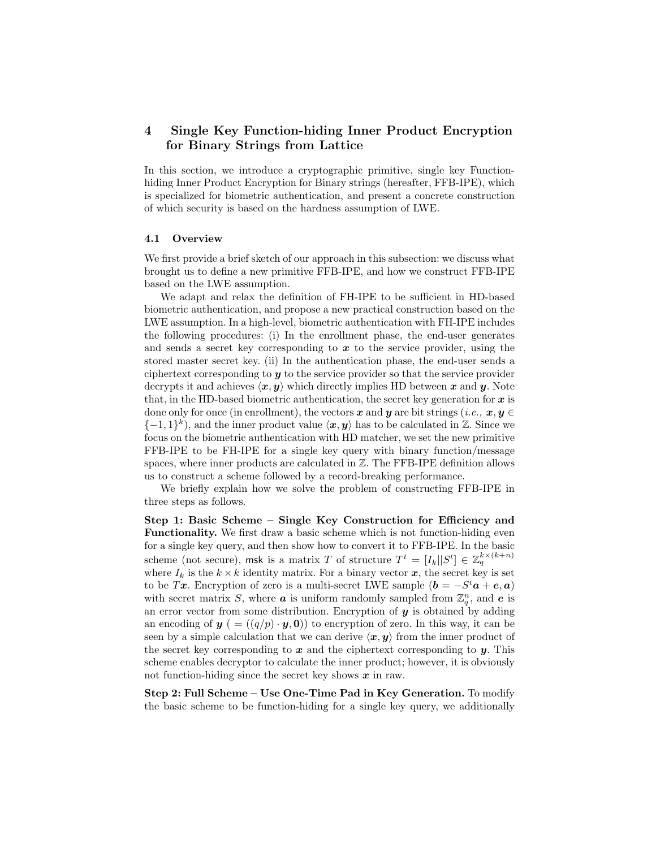# 4 Single Key Function-hiding Inner Product Encryption for Binary Strings from Lattice

In this section, we introduce a cryptographic primitive, single key Functionhiding Inner Product Encryption for Binary strings (hereafter, FFB-IPE), which is specialized for biometric authentication, and present a concrete construction of which security is based on the hardness assumption of LWE.

#### 4.1 Overview

We first provide a brief sketch of our approach in this subsection: we discuss what brought us to define a new primitive FFB-IPE, and how we construct FFB-IPE based on the LWE assumption.

We adapt and relax the definition of FH-IPE to be sufficient in HD-based biometric authentication, and propose a new practical construction based on the LWE assumption. In a high-level, biometric authentication with FH-IPE includes the following procedures: (i) In the enrollment phase, the end-user generates and sends a secret key corresponding to  $x$  to the service provider, using the stored master secret key. (ii) In the authentication phase, the end-user sends a ciphertext corresponding to y to the service provider so that the service provider decrypts it and achieves  $\langle x, y \rangle$  which directly implies HD between x and y. Note that, in the HD-based biometric authentication, the secret key generation for  $x$  is done only for once (in enrollment), the vectors x and y are bit strings (*i.e.*,  $x, y \in$  $\{-1, 1\}^k$ , and the inner product value  $\langle x, y \rangle$  has to be calculated in Z. Since we focus on the biometric authentication with HD matcher, we set the new primitive FFB-IPE to be FH-IPE for a single key query with binary function/message spaces, where inner products are calculated in  $\mathbb{Z}$ . The FFB-IPE definition allows us to construct a scheme followed by a record-breaking performance.

We briefly explain how we solve the problem of constructing FFB-IPE in three steps as follows.

Step 1: Basic Scheme – Single Key Construction for Efficiency and Functionality. We first draw a basic scheme which is not function-hiding even for a single key query, and then show how to convert it to FFB-IPE. In the basic scheme (not secure), msk is a matrix  $T$  of structure  $T^t = [I_k || S^t] \in \mathbb{Z}_q^{k \times (k+n)}$ where  $I_k$  is the  $k \times k$  identity matrix. For a binary vector  $x$ , the secret key is set to be Tx. Encryption of zero is a multi-secret LWE sample  $(b = -S^t a + e, a)$ with secret matrix S, where **a** is uniform randomly sampled from  $\mathbb{Z}_q^n$ , and **e** is an error vector from some distribution. Encryption of  $y$  is obtained by adding an encoding of  $y = ((q/p) \cdot y, 0)$  to encryption of zero. In this way, it can be seen by a simple calculation that we can derive  $\langle x, y \rangle$  from the inner product of the secret key corresponding to  $x$  and the ciphertext corresponding to  $y$ . This scheme enables decryptor to calculate the inner product; however, it is obviously not function-hiding since the secret key shows  $x$  in raw.

Step 2: Full Scheme – Use One-Time Pad in Key Generation. To modify the basic scheme to be function-hiding for a single key query, we additionally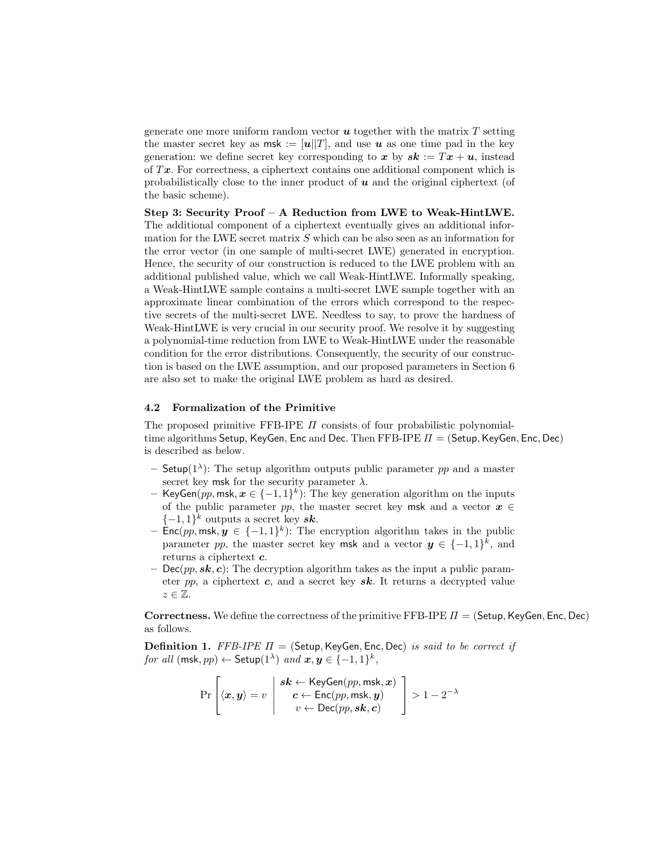generate one more uniform random vector  $\boldsymbol{u}$  together with the matrix T setting the master secret key as  $msk := [u||T]$ , and use u as one time pad in the key generation: we define secret key corresponding to x by  $sk := Tx + u$ , instead of  $Tx$ . For correctness, a ciphertext contains one additional component which is probabilistically close to the inner product of  $u$  and the original ciphertext (of the basic scheme).

Step 3: Security Proof – A Reduction from LWE to Weak-HintLWE. The additional component of a ciphertext eventually gives an additional information for the LWE secret matrix  $S$  which can be also seen as an information for the error vector (in one sample of multi-secret LWE) generated in encryption. Hence, the security of our construction is reduced to the LWE problem with an additional published value, which we call Weak-HintLWE. Informally speaking, a Weak-HintLWE sample contains a multi-secret LWE sample together with an approximate linear combination of the errors which correspond to the respective secrets of the multi-secret LWE. Needless to say, to prove the hardness of Weak-HintLWE is very crucial in our security proof. We resolve it by suggesting a polynomial-time reduction from LWE to Weak-HintLWE under the reasonable condition for the error distributions. Consequently, the security of our construction is based on the LWE assumption, and our proposed parameters in Section 6 are also set to make the original LWE problem as hard as desired.

#### 4.2 Formalization of the Primitive

The proposed primitive FFB-IPE  $\Pi$  consists of four probabilistic polynomialtime algorithms Setup, KeyGen, Enc and Dec. Then FFB-IPE  $\Pi =$  (Setup, KeyGen, Enc, Dec) is described as below.

- Setup( $1^{\lambda}$ ): The setup algorithm outputs public parameter pp and a master secret key msk for the security parameter  $\lambda$ .
- KeyGen(pp, msk,  $x \in \{-1,1\}^k$ ): The key generation algorithm on the inputs of the public parameter pp, the master secret key msk and a vector  $x \in$  $\{-1,1\}^k$  outputs a secret key sk.
- $-$  Enc(pp, msk,  $y \in \{-1,1\}^k$ ): The encryption algorithm takes in the public parameter pp, the master secret key msk and a vector  $y \in \{-1,1\}^k$ , and returns a ciphertext c.
- Dec(pp,  $sk, c$ ): The decryption algorithm takes as the input a public parameter pp, a ciphertext  $c$ , and a secret key  $sk$ . It returns a decrypted value  $z \in \mathbb{Z}$ .

**Correctness.** We define the correctness of the primitive FFB-IPE  $\Pi$  = (Setup, KeyGen, Enc, Dec) as follows.

**Definition 1.** FFB-IPE  $\Pi$  = (Setup, KeyGen, Enc, Dec) is said to be correct if for all  $(\mathsf{msk}, pp) \leftarrow \mathsf{Setup}(1^\lambda)$  and  $\bm{x}, \bm{y} \in \{-1, 1\}^k$ ,

$$
\Pr\left[\langle \mathbf{x}, \mathbf{y} \rangle = v \middle| \begin{array}{c} \mathbf{s}\mathbf{k} \leftarrow \text{KeyGen}(pp, \text{msk}, \mathbf{x}) \\ \mathbf{c} \leftarrow \text{Enc}(pp, \text{msk}, \mathbf{y}) \\ v \leftarrow \text{Dec}(pp, \mathbf{s}\mathbf{k}, \mathbf{c}) \end{array} \right] > 1 - 2^{-\lambda}
$$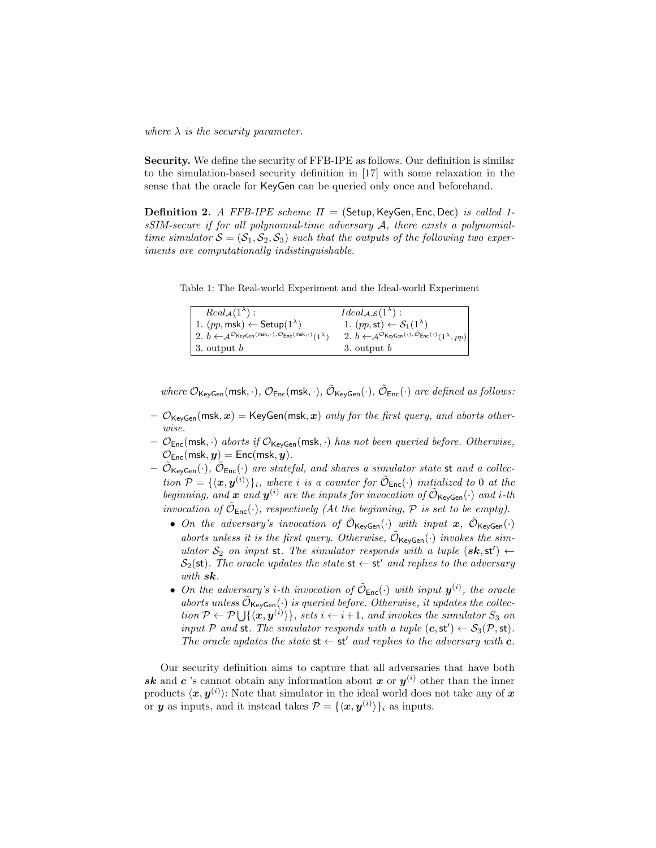where  $\lambda$  is the security parameter.

Security. We define the security of FFB-IPE as follows. Our definition is similar to the simulation-based security definition in [17] with some relaxation in the sense that the oracle for KeyGen can be queried only once and beforehand.

**Definition 2.** A FFB-IPE scheme  $\Pi =$  (Setup, KeyGen, Enc, Dec) is called 1sSIM-secure if for all polynomial-time adversary A, there exists a polynomialtime simulator  $S = (S_1, S_2, S_3)$  such that the outputs of the following two experiments are computationally indistinguishable.

Table 1: The Real-world Experiment and the Ideal-world Experiment

| $Real_{\mathcal{A}}(1^{\lambda})$ :                                                                                            | $Ideal_{\mathcal{A},\mathcal{S}}(1^{\lambda}):$                                                                                          |
|--------------------------------------------------------------------------------------------------------------------------------|------------------------------------------------------------------------------------------------------------------------------------------|
| 1. $(pp, \text{msk}) \leftarrow \text{Setup}(1^{\lambda})$                                                                     | 1. $(pp, \mathsf{st}) \leftarrow S_1(1^{\lambda})$                                                                                       |
| 2. $b \leftarrow \mathcal{A}^{\mathcal{O}}$ KeyGen (msk, · ), $\mathcal{O}_{\mathsf{Enc}}(\mathsf{msk}, \cdot)$ (1 $\lambda$ ) | 2. $b \leftarrow \mathcal{A}^{\tilde{\mathcal{O}}_{\mathsf{KeyGen}}(\cdot), \tilde{\mathcal{O}}_{\mathsf{Enc}}(\cdot)}(1^{\lambda}, pp)$ |
| 3. output $b$                                                                                                                  | 3. output $b$                                                                                                                            |

where  $\mathcal{O}_{\mathsf{KeyGen}}(\mathsf{msk},\cdot), \mathcal{O}_{\mathsf{Enc}}(\mathsf{msk},\cdot), \tilde{\mathcal{O}}_{\mathsf{KeyGen}}(\cdot), \tilde{\mathcal{O}}_{\mathsf{Enc}}(\cdot)$  are defined as follows:

- $\mathcal{O}_{\mathsf{KeyGen}}(\mathsf{msk}, \mathbf{x}) = \mathsf{KeyGen}(\mathsf{msk}, \mathbf{x})$  only for the first query, and aborts otherwise.
- $-$  O<sub>Enc</sub>(msk, ·) aborts if O<sub>KeyGen</sub>(msk, ·) has not been queried before. Otherwise,  $\mathcal{O}_{\mathsf{Enc}}(\mathsf{msk}, \boldsymbol{y}) = \mathsf{Enc}(\mathsf{msk}, \boldsymbol{y}).$
- $\tilde{\mathcal{O}}_{\mathsf{KeyGen}}(\cdot)$ ,  $\tilde{\mathcal{O}}_{\mathsf{Enc}}(\cdot)$  are stateful, and shares a simulator state st and a collection  $P = {\langle x, y^{(i)} \rangle}_i$ , where i is a counter for  $\tilde{\mathcal{O}}_{\text{Enc}}(\cdot)$  initialized to 0 at the beginning, and x and  $y^{(i)}$  are the inputs for invocation of  $\tilde{\mathcal{O}}_{\text{KeyGen}}(\cdot)$  and i-th invocation of  $\tilde{\mathcal{O}}_{\text{Enc}}(\cdot)$ , respectively (At the beginning, P is set to be empty).
	- On the adversary's invocation of  $\tilde{\mathcal{O}}_{\mathsf{KeyGen}}(\cdot)$  with input  $\mathbf{x}, \ \tilde{\mathcal{O}}_{\mathsf{KeyGen}}(\cdot)$ aborts unless it is the first query. Otherwise,  $\tilde{\mathcal{O}}_{\mathsf{KeyGen}}(\cdot)$  invokes the simulator  $S_2$  on input st. The simulator responds with a tuple  $(\mathbf{sk}, \mathsf{st}') \leftarrow$  $S_2(\text{st})$ . The oracle updates the state  $\text{st} \leftarrow \text{st}'$  and replies to the adversary with  $sk$ .
	- On the adversary's *i*-th invocation of  $\tilde{\mathcal{O}}_{\text{Enc}}(\cdot)$  with input  $\mathbf{y}^{(i)}$ , the oracle aborts unless  $\tilde{\mathcal{O}}_{\mathsf{KeyGen}}(\cdot)$  is queried before. Otherwise, it updates the collection  $P \leftarrow \mathcal{P} \bigcup \{ \langle \mathbf{x}, \mathbf{y}^{(i)} \rangle \},\, sets \, i \leftarrow i+1,\, and \, involves \, the \, simulator \, S_3 \, on$ input P and st. The simulator responds with a tuple  $(c, st') \leftarrow S_3(\mathcal{P}, st)$ . The oracle updates the state  $st \leftarrow st'$  and replies to the adversary with c.

Our security definition aims to capture that all adversaries that have both sk and c 's cannot obtain any information about x or  $y^{(i)}$  other than the inner products  $\langle x, y^{(i)} \rangle$ : Note that simulator in the ideal world does not take any of  $x$ or **y** as inputs, and it instead takes  $\mathcal{P} = {\{\langle \mathbf{x}, \mathbf{y}^{(i)} \rangle\}_i}$  as inputs.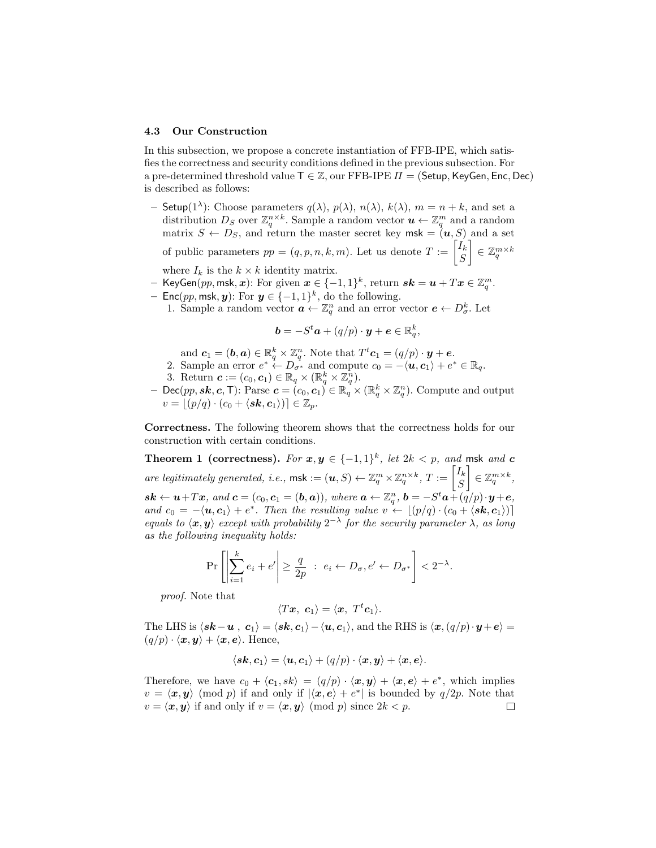#### 4.3 Our Construction

In this subsection, we propose a concrete instantiation of FFB-IPE, which satisfies the correctness and security conditions defined in the previous subsection. For a pre-determined threshold value  $T \in \mathbb{Z}$ , our FFB-IPE  $\Pi = ($ Setup, KeyGen, Enc, Dec) is described as follows:

- Setup(1<sup> $\lambda$ </sup>): Choose parameters  $q(\lambda)$ ,  $p(\lambda)$ ,  $n(\lambda)$ ,  $k(\lambda)$ ,  $m = n + k$ , and set a distribution  $D_S$  over  $\mathbb{Z}_q^{n \times k}$ . Sample a random vector  $u \leftarrow \mathbb{Z}_q^m$  and a random matrix  $S \leftarrow D_S$ , and return the master secret key msk =  $(u, S)$  and a set

of public parameters  $pp = (q, p, n, k, m)$ . Let us denote  $T := \begin{bmatrix} I_k \\ S_k \end{bmatrix}$ S  $\Big] \in \mathbb{Z}_q^{m \times k}$ where  $I_k$  is the  $k \times k$  identity matrix.

- $-$  KeyGen $\tilde{(p p, \text{msk}, \bm{x})}$ : For given  $\bm{x} \in \{-1, 1\}^k$ , return  $\bm{sk} = \bm{u} + T\bm{x} \in \mathbb{Z}_q^m$ .
- Enc(pp, msk, y): For  $y \in \{-1,1\}^k$ , do the following.
	- 1. Sample a random vector  $\boldsymbol{a} \leftarrow \mathbb{Z}_q^n$  and an error vector  $\boldsymbol{e} \leftarrow D_{\sigma}^k$ . Let

$$
\mathbf{b} = -S^t \mathbf{a} + (q/p) \cdot \mathbf{y} + \mathbf{e} \in \mathbb{R}_q^k,
$$

- and  $\mathbf{c}_1 = (\mathbf{b}, \mathbf{a}) \in \mathbb{R}^k_q \times \mathbb{Z}_q^n$ . Note that  $T^t \mathbf{c}_1 = (q/p) \cdot \mathbf{y} + \mathbf{e}$ .
- 2. Sample an error  $e^* \leftarrow D_{\sigma^*}$  and compute  $c_0 = -\langle u, c_1 \rangle + e^* \in \mathbb{R}_q$ .
- 3. Return  $\boldsymbol{c} := (c_0, \boldsymbol{c}_1) \in \mathbb{R}_q \times (\mathbb{R}_q^k \times \mathbb{Z}_q^n)$ .
- Dec(pp, sk, c, T): Parse  $c = (c_0, c_1) \in \mathbb{R}_q^3 \times (\mathbb{R}_q^k \times \mathbb{Z}_q^n)$ . Compute and output  $v = (p/q) \cdot (c_0 + \langle s\mathbf{k}, \mathbf{c}_1 \rangle) \in \mathbb{Z}_p.$

Correctness. The following theorem shows that the correctness holds for our construction with certain conditions.

Theorem 1 (correctness). For  $x, y \in \{-1,1\}^k$ , let  $2k < p$ , and msk and c are legitimately generated, i.e.,  $\mathsf{msk} := (\boldsymbol{u}, S) \leftarrow \mathbb{Z}_q^m \times \mathbb{Z}_q^{n \times k}, T := \begin{bmatrix} I_k \\ S_k \end{bmatrix}$ S  $\Big] \in \mathbb{Z}_q^{m \times k},$  $\mathbf{s} \mathbf{k} \leftarrow \boldsymbol{u} + T \boldsymbol{x}, \text{ and } \boldsymbol{c} = (c_0, \boldsymbol{c}_1 = (\boldsymbol{b}, \boldsymbol{a})), \text{ where } \boldsymbol{a} \leftarrow \mathbb{Z}_q^n, \boldsymbol{b} = -S^t \boldsymbol{a} + (\vec{q}/p) \cdot \boldsymbol{y} + \boldsymbol{e},$ and  $c_0 = -\langle \mathbf{u}, \mathbf{c}_1 \rangle + e^*$ . Then the resulting value  $v \leftarrow \lfloor (p/q) \cdot (c_0 + \langle \mathbf{sk}, \mathbf{c}_1 \rangle) \rfloor$ equals to  $\langle x, y \rangle$  except with probability  $2^{-\lambda}$  for the security parameter  $\lambda$ , as long as the following inequality holds:

$$
\Pr\left[\left|\sum_{i=1}^k e_i + e'\right| \ge \frac{q}{2p} \ : \ e_i \leftarrow D_\sigma, e' \leftarrow D_{\sigma^*}\right] < 2^{-\lambda}.
$$

proof. Note that

$$
\langle Tx, \mathbf{c}_1\rangle = \langle \mathbf{x}, \ T^t\mathbf{c}_1\rangle.
$$

The LHS is  $\langle s\mathbf{k}-\mathbf{u} \rangle, \mathbf{c}_1\rangle = \langle s\mathbf{k}, \mathbf{c}_1\rangle - \langle \mathbf{u}, \mathbf{c}_1\rangle$ , and the RHS is  $\langle \mathbf{x}, (q/p)\cdot \mathbf{y} + \mathbf{e}\rangle =$  $(q/p) \cdot \langle x, y \rangle + \langle x, e \rangle$ . Hence,

$$
\langle s\boldsymbol{k},\boldsymbol{c}_1\rangle=\langle \boldsymbol{u},\boldsymbol{c}_1\rangle+(q/p)\cdot\langle \boldsymbol{x},\boldsymbol{y}\rangle+\langle \boldsymbol{x},\boldsymbol{e}\rangle.
$$

Therefore, we have  $c_0 + \langle c_1, sk \rangle = (q/p) \cdot \langle x, y \rangle + \langle x, e \rangle + e^*$ , which implies  $v = \langle x, y \rangle \pmod{p}$  if and only if  $|\langle x, e \rangle + e^*|$  is bounded by  $q/2p$ . Note that  $v = \langle x, y \rangle$  if and only if  $v = \langle x, y \rangle$  (mod p) since  $2k < p$ .  $\Box$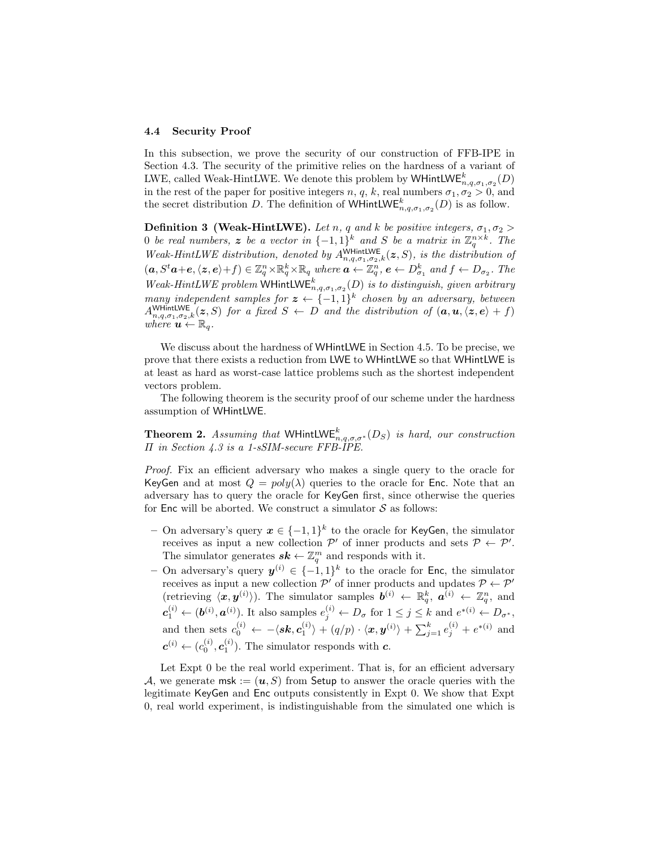#### 4.4 Security Proof

In this subsection, we prove the security of our construction of FFB-IPE in Section 4.3. The security of the primitive relies on the hardness of a variant of LWE, called Weak-HintLWE. We denote this problem by WHintLW $\mathsf{E}^k_{n,q,\sigma_1,\sigma_2}(D)$ in the rest of the paper for positive integers  $n, q, k$ , real numbers  $\sigma_1, \sigma_2 > 0$ , and the secret distribution D. The definition of WHintLW $\mathsf{E}^k_{n,q,\sigma_1,\sigma_2}(D)$  is as follow.

**Definition 3 (Weak-HintLWE).** Let n, q and k be positive integers,  $\sigma_1, \sigma_2$ 0 be real numbers, z be a vector in  $\{-1,1\}^k$  and S be a matrix in  $\mathbb{Z}_q^{n\times k}$ . The Weak-HintLWE distribution, denoted by  $A_{n,q,\sigma_1,\sigma_2,k}^{\text{WHintLWE}}(z, S)$ , is the distribution of  $(a, S^t\boldsymbol{a}+\boldsymbol{e}, \langle \boldsymbol{z}, \boldsymbol{e}\rangle+f)\in \mathbb{Z}_q^n\times \mathbb{R}_q^k\times \mathbb{R}_q$  where  $\boldsymbol{a}\leftarrow \mathbb{Z}_q^n$ ,  $\boldsymbol{e}\leftarrow D^k_{\sigma_1}$  and  $f\leftarrow D_{\sigma_2}$ . The Weak-HintLWE problem WHintLW $\mathsf{E}^k_{n,q,\sigma_1,\sigma_2}(D)$  is to distinguish, given arbitrary many independent samples for  $z \leftarrow \{-1,1\}^k$  chosen by an adversary, between  $A_{n,q,\sigma_1,\sigma_2,k}^{\text{WHintLWE}}(z,S)$  for a fixed  $S \leftarrow D$  and the distribution of  $(a,u,\langle z,e \rangle + f)$ where  $\mathbf{u} \leftarrow \mathbb{R}_q$ .

We discuss about the hardness of WHintLWE in Section 4.5. To be precise, we prove that there exists a reduction from LWE to WHintLWE so that WHintLWE is at least as hard as worst-case lattice problems such as the shortest independent vectors problem.

The following theorem is the security proof of our scheme under the hardness assumption of WHintLWE.

**Theorem 2.** Assuming that WHintLWE<sup>k</sup><sub>n,q, $\sigma$ , $\sigma^*$ (D<sub>S</sub>) is hard, our construction</sub> Π in Section 4.3 is a 1-sSIM-secure FFB-IPE.

Proof. Fix an efficient adversary who makes a single query to the oracle for KeyGen and at most  $Q = poly(\lambda)$  queries to the oracle for Enc. Note that an adversary has to query the oracle for KeyGen first, since otherwise the queries for Enc will be aborted. We construct a simulator  $S$  as follows:

- On adversary's query  $x \in \{-1,1\}^k$  to the oracle for KeyGen, the simulator receives as input a new collection  $\mathcal{P}'$  of inner products and sets  $\mathcal{P} \leftarrow \mathcal{P}'$ . The simulator generates  $s\mathbf{k} \leftarrow \mathbb{Z}_q^m$  and responds with it.
- On adversary's query  $y^{(i)} \in \{-1,1\}^k$  to the oracle for Enc, the simulator receives as input a new collection  $\mathcal{P}'$  of inner products and updates  $\mathcal{P} \leftarrow \mathcal{P}'$ (retrieving  $\langle x, y^{(i)} \rangle$ ). The simulator samples  $b^{(i)} \leftarrow \mathbb{R}_q^k$ ,  $a^{(i)} \leftarrow \mathbb{Z}_q^n$ , and  $c_1^{(i)} \leftarrow (b^{(i)}, a^{(i)})$ . It also samples  $e_j^{(i)} \leftarrow D_\sigma$  for  $1 \leq j \leq k$  and  $e^{*(i)} \leftarrow D_{\sigma^*},$ and then sets  $c_0^{(i)} \leftarrow -\langle s k, c_1^{(i)} \rangle + (q/p) \cdot \langle x, y^{(i)} \rangle + \sum_{j=1}^k e_j^{(i)} + e^{*(i)}$  and  $c^{(i)} \leftarrow (c_0^{(i)}, c_1^{(i)})$ . The simulator responds with  $c$ .

Let Expt 0 be the real world experiment. That is, for an efficient adversary A, we generate msk :=  $(u, S)$  from Setup to answer the oracle queries with the legitimate KeyGen and Enc outputs consistently in Expt 0. We show that Expt 0, real world experiment, is indistinguishable from the simulated one which is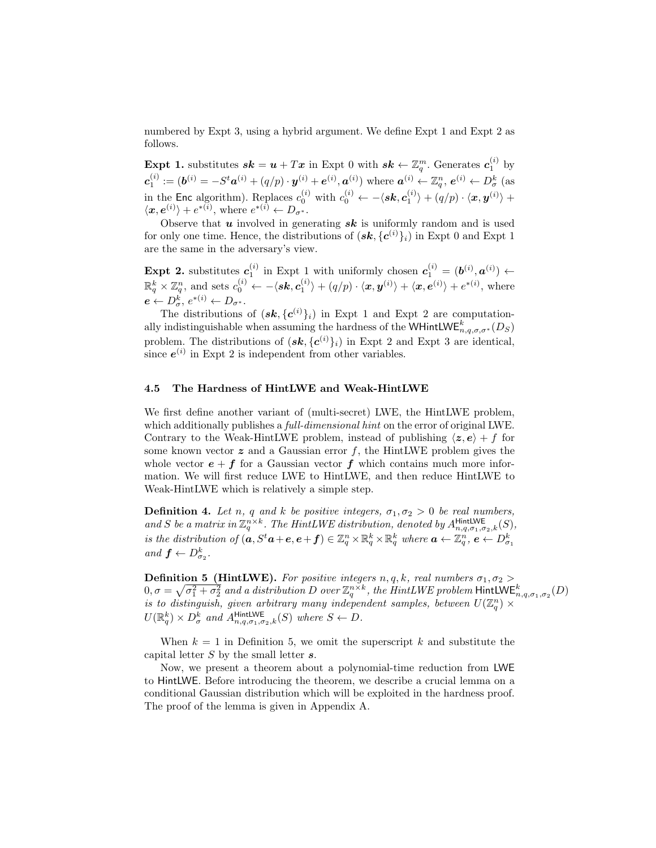numbered by Expt 3, using a hybrid argument. We define Expt 1 and Expt 2 as follows.

**Expt 1.** substitutes  $sk = u + Tx$  in Expt 0 with  $sk \leftarrow \mathbb{Z}_q^m$ . Generates  $c_1^{(i)}$  by  $c_1^{(i)} := (\boldsymbol{b}^{(i)} = -S^t \boldsymbol{a}^{(i)} + (q/p) \cdot \boldsymbol{y}^{(i)} + \boldsymbol{e}^{(i)}, \boldsymbol{a}^{(i)}) \text{ where } \boldsymbol{a}^{(i)} \leftarrow \mathbb{Z}_q^n, \boldsymbol{e}^{(i)} \leftarrow D^k_{\sigma} \text{ (as }$ in the Enc algorithm). Replaces  $c_0^{(i)}$  with  $c_0^{(i)} \leftarrow -\langle s\mathbf{k}, c_1^{(i)} \rangle + (q/p) \cdot \langle \mathbf{x}, \mathbf{y}^{(i)} \rangle +$  $\langle \boldsymbol{x}, \boldsymbol{e}^{(i)} \rangle + e^{*(i)}$ , where  $e^{*(i)} \leftarrow D_{\sigma^*}$ .

Observe that  $u$  involved in generating  $sk$  is uniformly random and is used for only one time. Hence, the distributions of  $(\mathbf{sk}, {\{c^{(i)}\}}_i)$  in Expt 0 and Expt 1 are the same in the adversary's view.

Expt 2. substitutes  $c_1^{(i)}$  in Expt 1 with uniformly chosen  $c_1^{(i)} = (b^{(i)}, a^{(i)}) \leftarrow$  $\mathbb{R}^k_q \times \mathbb{Z}_q^n$ , and sets  $c_0^{(i)} \leftarrow -\langle s\boldsymbol{k}, \boldsymbol{c}_1^{(i)} \rangle + (q/p) \cdot \langle \boldsymbol{x}, \boldsymbol{y}^{(i)} \rangle + \langle \boldsymbol{x}, \boldsymbol{e}^{(i)} \rangle + e^{*(i)}$ , where  $e \leftarrow D^k_{\sigma}, e^{*(i)} \leftarrow D_{\sigma^*}.$ 

The distributions of  $(\mathbf{sk}, {\{c^{(i)}\}}_i)$  in Expt 1 and Expt 2 are computationally indistinguishable when assuming the hardness of the WHintLWE<sup>k</sup><sub>n,q, $\sigma$ , $\sigma^*$ ( $D_S$ )</sub> problem. The distributions of  $(\mathbf{sk}, {\{c^{(i)}\}}_i)$  in Expt 2 and Expt 3 are identical, since  $e^{(i)}$  in Expt 2 is independent from other variables.

#### 4.5 The Hardness of HintLWE and Weak-HintLWE

We first define another variant of (multi-secret) LWE, the HintLWE problem, which additionally publishes a *full-dimensional hint* on the error of original LWE. Contrary to the Weak-HintLWE problem, instead of publishing  $\langle z, e \rangle + f$  for some known vector  $z$  and a Gaussian error  $f$ , the HintLWE problem gives the whole vector  $e + f$  for a Gaussian vector f which contains much more information. We will first reduce LWE to HintLWE, and then reduce HintLWE to Weak-HintLWE which is relatively a simple step.

**Definition 4.** Let n, q and k be positive integers,  $\sigma_1, \sigma_2 > 0$  be real numbers, and S be a matrix in  $\mathbb{Z}_q^{n\times k}$ . The HintLWE distribution, denoted by  $A_{n,q,\sigma_1,\sigma_2,k}^{\text{HintLWE}}(S)$ , is the distribution of  $(a, S^t a + e, e + f) \in \mathbb{Z}_q^n \times \mathbb{R}_q^k \times \mathbb{R}_q^k$  where  $a \leftarrow \mathbb{Z}_q^n, e \leftarrow D_{\sigma_1}^k$ and  $f \leftarrow D_{\sigma_2}^k$ .

**Definition 5 (HintLWE).** For positive integers n, q, k, real numbers  $\sigma_1, \sigma_2$  $0,\sigma=\sqrt{\sigma_1^2+\sigma_2^2}$  and a distribution  $D$  over  $\mathbb{Z}_q^{n\times k}$ , the HintLWE problem  ${\sf HintLWE}_{n,q,\sigma_1,\sigma_2}^k(D)$ is to distinguish, given arbitrary many independent samples, between  $U(\mathbb{Z}_q^n) \times$  $U(\mathbb{R}^k_q) \times D^k_\sigma$  and  $A_{n,q,\sigma_1,\sigma_2,k}^{\text{HintLIVE}}(S)$  where  $S \leftarrow D$ .

When  $k = 1$  in Definition 5, we omit the superscript k and substitute the capital letter  $S$  by the small letter  $s$ .

Now, we present a theorem about a polynomial-time reduction from LWE to HintLWE. Before introducing the theorem, we describe a crucial lemma on a conditional Gaussian distribution which will be exploited in the hardness proof. The proof of the lemma is given in Appendix A.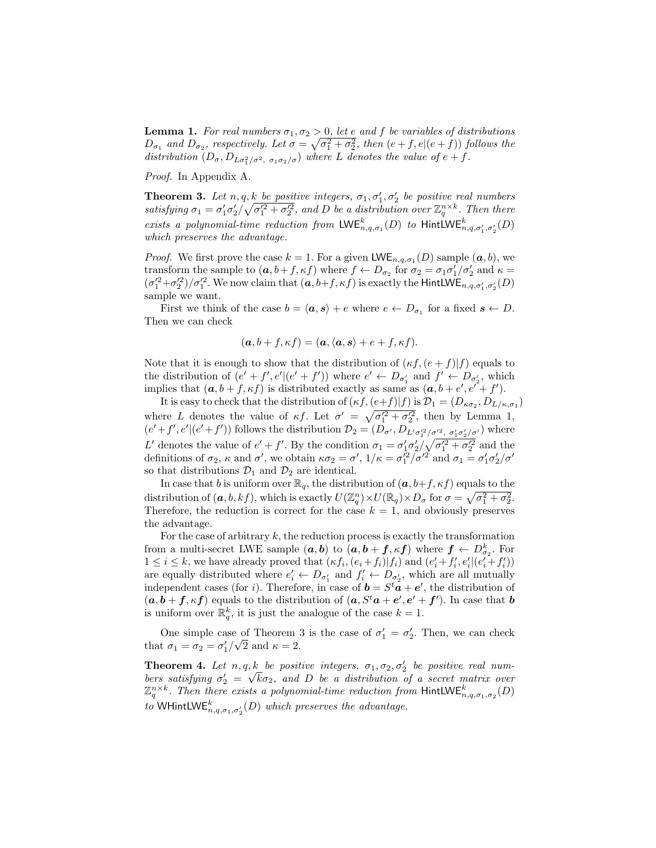**Lemma 1.** For real numbers  $\sigma_1, \sigma_2 > 0$ , let e and f be variables of distributions  $D_{\sigma_1}$  and  $D_{\sigma_2}$ , respectively. Let  $\sigma = \sqrt{\sigma_1^2 + \sigma_2^2}$ , then  $(e + f, e | (e + f))$  follows the distribution  $(D_{\sigma}, D_{L\sigma_1^2/\sigma^2, \sigma_1\sigma_2/\sigma})$  where L denotes the value of  $e+f$ .

Proof. In Appendix A.

**Theorem 3.** Let  $n, q, k$  be positive integers,  $\sigma_1, \sigma'_1, \sigma'_2$  be positive real numbers satisfying  $\sigma_1 = \sigma_1' \sigma_2' / \sqrt{\sigma_1'^2 + \sigma_2'^2}$ , and D be a distribution over  $\mathbb{Z}_q^{n \times k}$ . Then there exists a polynomial-time reduction from  $\mathsf{LWE}_{n,q,\sigma_1}^k(D)$  to  $\mathsf{HintLWE}_{n,q,\sigma'_1,\sigma'_2}^k(D)$ which preserves the advantage.

*Proof.* We first prove the case  $k = 1$ . For a given LWE<sub>n,q, $\sigma_1(D)$ </sub> sample  $(a, b)$ , we transform the sample to  $(a, b+f, \kappa f)$  where  $f \leftarrow D_{\sigma_2}$  for  $\sigma_2 = \sigma_1 \sigma'_1/\sigma'_2$  and  $\kappa =$  $(\sigma_1'^2+\sigma_2'^2)/\sigma_1'^2$ . We now claim that  $(a,b+f,\kappa f)$  is exactly the HintLWE<sub>n,q, $\sigma_1',\sigma_2'(D)$ </sub> sample we want.

First we think of the case  $b = \langle a, s \rangle + e$  where  $e \leftarrow D_{\sigma_1}$  for a fixed  $s \leftarrow D$ . Then we can check

$$
(\mathbf{a}, b + f, \kappa f) = (\mathbf{a}, \langle \mathbf{a}, \mathbf{s} \rangle + e + f, \kappa f).
$$

Note that it is enough to show that the distribution of  $(\kappa f, (e + f)|f)$  equals to the distribution of  $(e' + f', e' | (e' + f'))$  where  $e' \leftarrow D_{\sigma'_1}$  and  $f' \leftarrow D_{\sigma'_2}$ , which implies that  $(a, b+f, \kappa f)$  is distributed exactly as same as  $(a, b+e', e' + f')$ .

It is easy to check that the distribution of  $(\kappa f, (e+f)|f)$  is  $\mathcal{D}_1 = (D_{\kappa \sigma_2}, D_{L/\kappa, \sigma_1})$ where L denotes the value of  $\kappa f$ . Let  $\sigma' = \sqrt{\sigma_1'^2 + \sigma_2'^2}$ , then by Lemma 1,  $(e'+f',e'|(e'+f'))$  follows the distribution  $\mathcal{D}_2=(D_{\sigma'},D_{L'\sigma_1'^2/\sigma'^2, \sigma_1'\sigma_2'\sigma'})$  where L' denotes the value of  $e' + f'$ . By the condition  $\sigma_1 = \sigma'_1 \sigma'_2 / \sqrt{\sigma'^2_1 + \sigma'^2_2}$  and the definitions of  $\sigma_2$ ,  $\kappa$  and  $\sigma'$ , we obtain  $\kappa \sigma_2 = \sigma'$ ,  $1/\kappa = \sigma_1'^2/\sigma'^2$  and  $\sigma_1 = \sigma_1' \sigma_2'/\sigma'$ so that distributions  $\mathcal{D}_1$  and  $\mathcal{D}_2$  are identical.

In case that b is uniform over  $\mathbb{R}_q$ , the distribution of  $(a, b+f, \kappa f)$  equals to the distribution of  $(a, b, kf)$ , which is exactly  $U(\mathbb{Z}_q^n) \times U(\mathbb{R}_q) \times D_\sigma$  for  $\sigma = \sqrt{\sigma_1^2 + \sigma_2^2}$ . Therefore, the reduction is correct for the case  $k = 1$ , and obviously preserves the advantage.

For the case of arbitrary  $k$ , the reduction process is exactly the transformation from a multi-secret LWE sample  $(a, b)$  to  $(a, b + f, \kappa f)$  where  $f \leftarrow D_{\sigma_2}^k$ . For  $1 \leq i \leq k$ , we have already proved that  $(\kappa f_i, (e_i + f_i)|f_i)$  and  $(e'_i + f'_i, e'_i|(e'_i + f'_i))$ are equally distributed where  $e'_i \leftarrow D_{\sigma'_1}$  and  $f'_i \leftarrow D_{\sigma'_2}$ , which are all mutually independent cases (for i). Therefore, in case of  $\mathbf{b} = S^t \mathbf{a} + \mathbf{e}'$ , the distribution of  $(a, b + f, \kappa f)$  equals to the distribution of  $(a, S^t a + e', e' + f')$ . In case that b is uniform over  $\mathbb{R}_q^k$ , it is just the analogue of the case  $k=1$ .

One simple case of Theorem 3 is the case of  $\sigma'_1 = \sigma'_2$ . Then, we can check that  $\sigma_1 = \sigma_2 = \sigma'_1/\sqrt{2}$  and  $\kappa = 2$ .

**Theorem 4.** Let  $n, q, k$  be positive integers,  $\sigma_1, \sigma_2, \sigma_2'$  be positive real numbers satisfying  $\sigma'_2 = \sqrt{k}\sigma_2$ , and D be a distribution of a secret matrix over  $\mathbb{Z}_q^{n\times k}$ . Then there exists a polynomial-time reduction from HintLWE $_{n,q,\sigma_1,\sigma_2}^k(D)$ to WHintLW $\mathsf{E}^k_{n,q,\sigma_1,\sigma_2}(D)$  which preserves the advantage.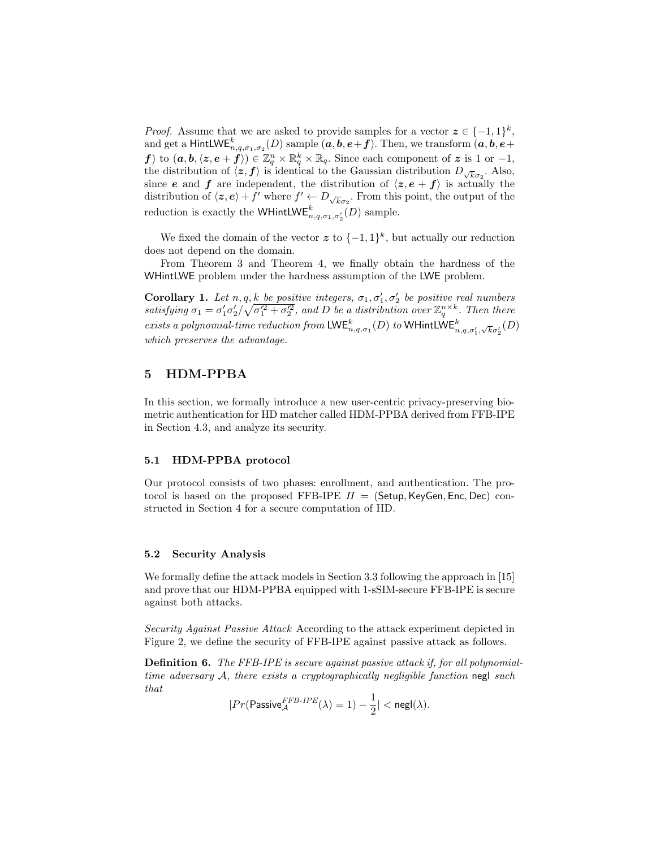*Proof.* Assume that we are asked to provide samples for a vector  $z \in \{-1,1\}^k$ , and get a <code>HintLWE</code>  $_{n,q,\sigma_1,\sigma_2}^{k}(D)$  sample  $(\bm{a},\bm{b},\bm{e}+\bm{f}).$  Then, we transform  $(\bm{a},\bm{b},\bm{e}+\bm{f})$ f) to  $(a, b, \langle z, e+f \rangle) \in \mathbb{Z}_q^n \times \mathbb{R}_q^k \times \mathbb{R}_q$ . Since each component of z is 1 or -1, the distribution of  $\langle z, f \rangle$  is identical to the Gaussian distribution  $D_{\sqrt{k}\sigma_2}$ . Also, since **e** and **f** are independent, the distribution of  $\langle z, e + f \rangle$  is actually the distribution of  $\langle z, e \rangle + f'$  where  $f' \leftarrow D_{\sqrt{k}\sigma_2}$ . From this point, the output of the reduction is exactly the WHintLW $\mathsf{E}^k_{n,q,\sigma_1,\sigma'_2}(D)$  sample.

We fixed the domain of the vector  $\boldsymbol{z}$  to  $\{-1,1\}^k$ , but actually our reduction does not depend on the domain.

From Theorem 3 and Theorem 4, we finally obtain the hardness of the WHintLWE problem under the hardness assumption of the LWE problem.

**Corollary 1.** Let  $n, q, \underline{k}$  be positive integers,  $\sigma_1, \sigma'_1, \sigma'_2$  be positive real numbers satisfying  $\sigma_1 = \sigma_1' \sigma_2' / \sqrt{\sigma_1'^2 + \sigma_2'^2}$ , and D be a distribution over  $\mathbb{Z}_q^{n \times k}$ . Then there exists a polynomial-time reduction from  $\mathsf{LWE}_{n,q,\sigma_1}^k(D)$  to  $\mathsf{WHintLWE}_{n,q,\sigma'_1,\sqrt{k}\sigma'_2}^k(D)$ which preserves the advantage.

# 5 HDM-PPBA

In this section, we formally introduce a new user-centric privacy-preserving biometric authentication for HD matcher called HDM-PPBA derived from FFB-IPE in Section 4.3, and analyze its security.

#### 5.1 HDM-PPBA protocol

Our protocol consists of two phases: enrollment, and authentication. The protocol is based on the proposed FFB-IPE  $\Pi =$  (Setup, KeyGen, Enc, Dec) constructed in Section 4 for a secure computation of HD.

#### 5.2 Security Analysis

We formally define the attack models in Section 3.3 following the approach in [15] and prove that our HDM-PPBA equipped with 1-sSIM-secure FFB-IPE is secure against both attacks.

Security Against Passive Attack According to the attack experiment depicted in Figure 2, we define the security of FFB-IPE against passive attack as follows.

**Definition 6.** The FFB-IPE is secure against passive attack if, for all polynomialtime adversary  $A$ , there exists a cryptographically negligible function negl such that

$$
|Pr(\mathsf{Passive}_{\mathcal{A}}^{\mathit{FFB\text{-}IPE}}(\lambda)=1)-\frac{1}{2}|< \mathsf{negl}(\lambda).
$$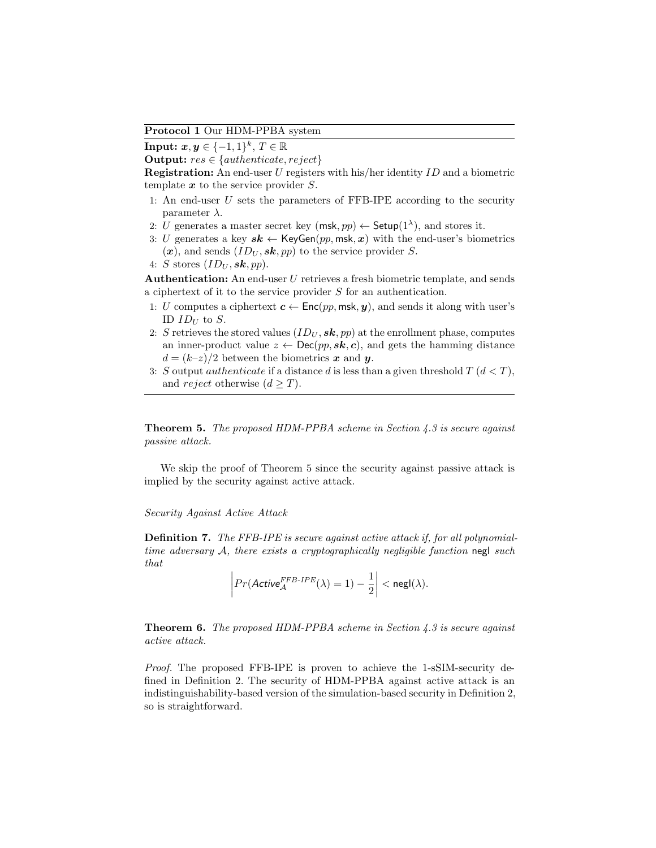Protocol 1 Our HDM-PPBA system

Input:  $x, y \in \{-1, 1\}^k$ ,  $T \in \mathbb{R}$ 

Output:  $res \in \{authenticate, reject\}$ 

Registration: An end-user U registers with his/her identity ID and a biometric template  $x$  to the service provider  $S$ .

- 1: An end-user  $U$  sets the parameters of FFB-IPE according to the security parameter  $\lambda$ .
- 2: U generates a master secret key  $(msk, pp) \leftarrow$  Setup $(1^{\lambda})$ , and stores it.
- 3: U generates a key  $sk \leftarrow \text{KeyGen}(pp, \text{msk}, x)$  with the end-user's biometrics  $(x)$ , and sends  $(ID_U, \mathbf{sk}, pp)$  to the service provider S.

4: S stores 
$$
(ID_U, \mathbf{sk}, pp)
$$
.

Authentication: An end-user U retrieves a fresh biometric template, and sends a ciphertext of it to the service provider S for an authentication.

- 1: U computes a ciphertext  $c \leftarrow \mathsf{Enc}(pp, \mathsf{msk}, y)$ , and sends it along with user's ID  $ID_{II}$  to  $S$ .
- 2: S retrieves the stored values  $(ID_U, \mathbf{sk}, pp)$  at the enrollment phase, computes an inner-product value  $z \leftarrow \text{Dec}(pp, \textbf{sk}, c)$ , and gets the hamming distance  $d = (k-z)/2$  between the biometrics x and y.
- 3: S output *authenticate* if a distance d is less than a given threshold  $T(d < T)$ , and reject otherwise  $(d \geq T)$ .

Theorem 5. The proposed HDM-PPBA scheme in Section 4.3 is secure against passive attack.

We skip the proof of Theorem 5 since the security against passive attack is implied by the security against active attack.

#### Security Against Active Attack

Definition 7. The FFB-IPE is secure against active attack if, for all polynomialtime adversary  $A$ , there exists a cryptographically negligible function negl such that

$$
\left| Pr(\mathit{Active}_{\mathcal{A}}^{FFB\text{-}IPE}(\lambda) = 1) - \frac{1}{2} \right| < \mathsf{negl}(\lambda).
$$

**Theorem 6.** The proposed HDM-PPBA scheme in Section 4.3 is secure against active attack.

Proof. The proposed FFB-IPE is proven to achieve the 1-sSIM-security defined in Definition 2. The security of HDM-PPBA against active attack is an indistinguishability-based version of the simulation-based security in Definition 2, so is straightforward.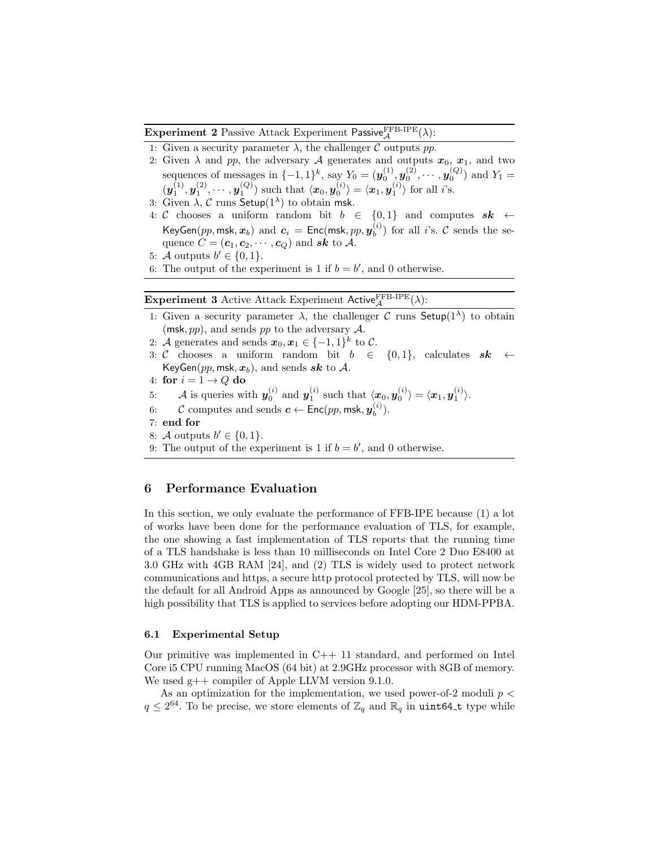**Experiment 2** Passive Attack Experiment Passive $_{\mathcal{A}}^{\text{FFB-IPE}}(\lambda)$ :

- 1: Given a security parameter  $\lambda$ , the challenger C outputs pp.
- 2: Given  $\lambda$  and pp, the adversary A generates and outputs  $x_0, x_1$ , and two sequences of messages in  $\{-1,1\}^k$ , say  $Y_0 = (\mathbf{y}_0^{(1)}, \mathbf{y}_0^{(2)}, \cdots, \mathbf{y}_0^{(Q)})$  and  $Y_1 =$  $(\boldsymbol{y}_1^{(1)}, \boldsymbol{y}_1^{(2)}, \cdots, \boldsymbol{y}_1^{(Q)})$  such that  $\langle \boldsymbol{x}_0, \boldsymbol{y}_0^{(i)} \rangle = \langle \boldsymbol{x}_1, \boldsymbol{y}_1^{(i)} \rangle$  for all *i*'s.
- 3: Given  $\lambda$ , C runs Setup(1<sup> $\lambda$ </sup>) to obtain msk.
- 4: C chooses a uniform random bit  $b \in \{0,1\}$  and computes  $sk \leftarrow$ KeyGen $(pp,\mathsf{msk},\bm{x}_b)$  and  $\bm{c}_i~=~\mathsf{Enc}(\mathsf{msk},pp,\bm{y}_b^{(i)})$  $\binom{v}{b}$  for all *i*'s. C sends the sequence  $C = (\mathbf{c}_1, \mathbf{c}_2, \cdots, \mathbf{c}_Q)$  and sk to  $\mathcal{A}$ .
- 5: A outputs  $b' \in \{0, 1\}.$
- 6: The output of the experiment is 1 if  $b = b'$ , and 0 otherwise.

Experiment 3 Active Attack Experiment Active  $_A^{\text{FFB-IPE}}(\lambda)$ :

- 1: Given a security parameter  $\lambda$ , the challenger C runs Setup(1<sup> $\lambda$ </sup>) to obtain (msk,  $pp$ ), and sends  $pp$  to the adversary  $\mathcal{A}$ .
- 2: A generates and sends  $x_0, x_1 \in \{-1, 1\}^k$  to C.
- 3: C chooses a uniform random bit  $b \in \{0,1\}$ , calculates  $sk \leftarrow$ KeyGen(pp, msk,  $x_b$ ), and sends sk to A.
- 4: for  $i = 1 \rightarrow Q$  do
- 5: A is queries with  $y_0^{(i)}$  and  $y_1^{(i)}$  such that  $\langle x_0, y_0^{(i)} \rangle = \langle x_1, y_1^{(i)} \rangle$ .
- 6: C computes and sends  $\boldsymbol{c} \leftarrow \mathsf{Enc}(pp, \mathsf{msk}, \boldsymbol{y}_b^{(i)})$  $\binom{v}{b}$ .
- 7: end for
- 8: A outputs  $b' \in \{0, 1\}.$
- 9: The output of the experiment is 1 if  $b = b'$ , and 0 otherwise.

# 6 Performance Evaluation

In this section, we only evaluate the performance of FFB-IPE because (1) a lot of works have been done for the performance evaluation of TLS, for example, the one showing a fast implementation of TLS reports that the running time of a TLS handshake is less than 10 milliseconds on Intel Core 2 Duo E8400 at 3.0 GHz with 4GB RAM [24], and (2) TLS is widely used to protect network communications and https, a secure http protocol protected by TLS, will now be the default for all Android Apps as announced by Google [25], so there will be a high possibility that TLS is applied to services before adopting our HDM-PPBA.

#### 6.1 Experimental Setup

Our primitive was implemented in  $C_{++}$  11 standard, and performed on Intel Core i5 CPU running MacOS (64 bit) at 2.9GHz processor with 8GB of memory. We used  $g++$  compiler of Apple LLVM version 9.1.0.

As an optimization for the implementation, we used power-of-2 moduli  $p <$  $q \leq 2^{64}$ . To be precise, we store elements of  $\mathbb{Z}_q$  and  $\mathbb{R}_q$  in uint64\_t type while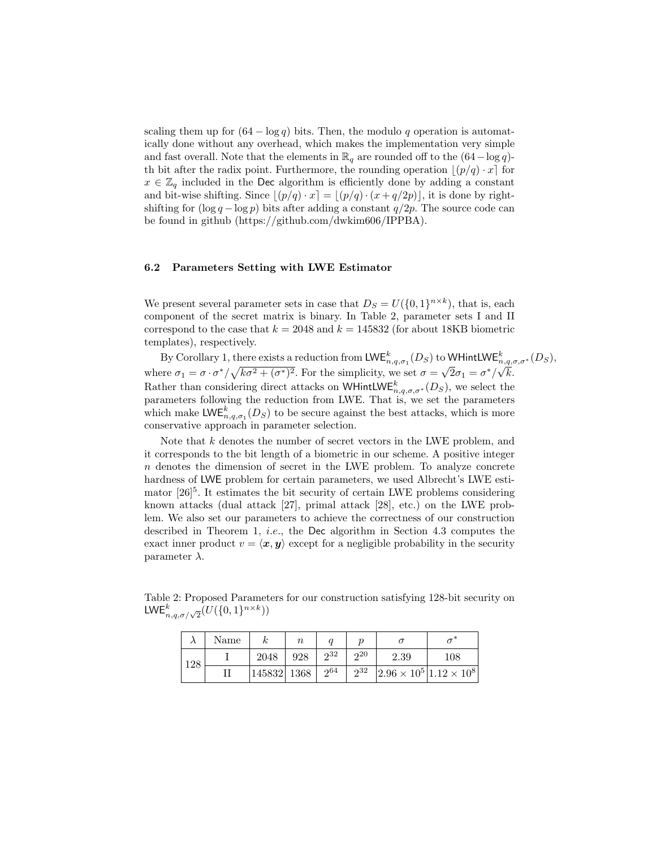scaling them up for  $(64 - \log q)$  bits. Then, the modulo q operation is automatically done without any overhead, which makes the implementation very simple and fast overall. Note that the elements in  $\mathbb{R}_q$  are rounded off to the  $(64-\log q)$ th bit after the radix point. Furthermore, the rounding operation  $\lfloor (p/q) \cdot x \rfloor$  for  $x \in \mathbb{Z}_q$  included in the Dec algorithm is efficiently done by adding a constant and bit-wise shifting. Since  $|(p/q) \cdot x| = |(p/q) \cdot (x + q/2p)|$ , it is done by rightshifting for  $(\log q - \log p)$  bits after adding a constant  $q/2p$ . The source code can be found in github (https://github.com/dwkim606/IPPBA).

#### 6.2 Parameters Setting with LWE Estimator

We present several parameter sets in case that  $D_S = U({0,1}^{n \times k})$ , that is, each component of the secret matrix is binary. In Table 2, parameter sets I and II correspond to the case that  $k = 2048$  and  $k = 145832$  (for about 18KB biometric templates), respectively.

By Corollary 1, there exists a reduction from  $\mathsf{LWE}_{n,q,\sigma_1}^k(D_S)$  to  $\mathsf{WHintLWE}_{n,q,\sigma,\sigma^*}^k(D_S)$ ,  $D_y$  coronary 1, there exists a reduction non-EVE<sub>n, *a*, *σ*<sub>1</sub> ( $D_s$ ) to</sub>  $\overline{2}\sigma_1=\sigma^*/\sqrt{k}.$ Rather than considering direct attacks on WHintLWE<sup>k</sup><sub>n,q, $\sigma$ , $\sigma^*(D_S)$ , we select the</sub> parameters following the reduction from LWE. That is, we set the parameters which make  $\mathsf{LWE}_{n,q,\sigma_1}^k(D_S)$  to be secure against the best attacks, which is more conservative approach in parameter selection.

Note that  $k$  denotes the number of secret vectors in the LWE problem, and it corresponds to the bit length of a biometric in our scheme. A positive integer n denotes the dimension of secret in the LWE problem. To analyze concrete hardness of LWE problem for certain parameters, we used Albrecht's LWE estimator  $[26]$ <sup>5</sup>. It estimates the bit security of certain LWE problems considering known attacks (dual attack [27], primal attack [28], etc.) on the LWE problem. We also set our parameters to achieve the correctness of our construction described in Theorem 1, *i.e.*, the Dec algorithm in Section 4.3 computes the exact inner product  $v = \langle x, y \rangle$  except for a negligible probability in the security parameter  $\lambda$ .

Table 2: Proposed Parameters for our construction satisfying 128-bit security on LWE $_{n,q,\sigma/\sqrt{2}}^{k}(U(\{0,1\}^{n\times k}))$ 

|     | Name |                       | $\it n$ |          |    |                                                |     |
|-----|------|-----------------------|---------|----------|----|------------------------------------------------|-----|
| 128 |      | 2048                  | 928     | $2^{32}$ | 20 | 2.39                                           | 108 |
|     |      | $ 145832 1368 2^{64}$ |         |          |    | $2^{32}$ 2.96 $\times 10^5$ 1.12 $\times 10^8$ |     |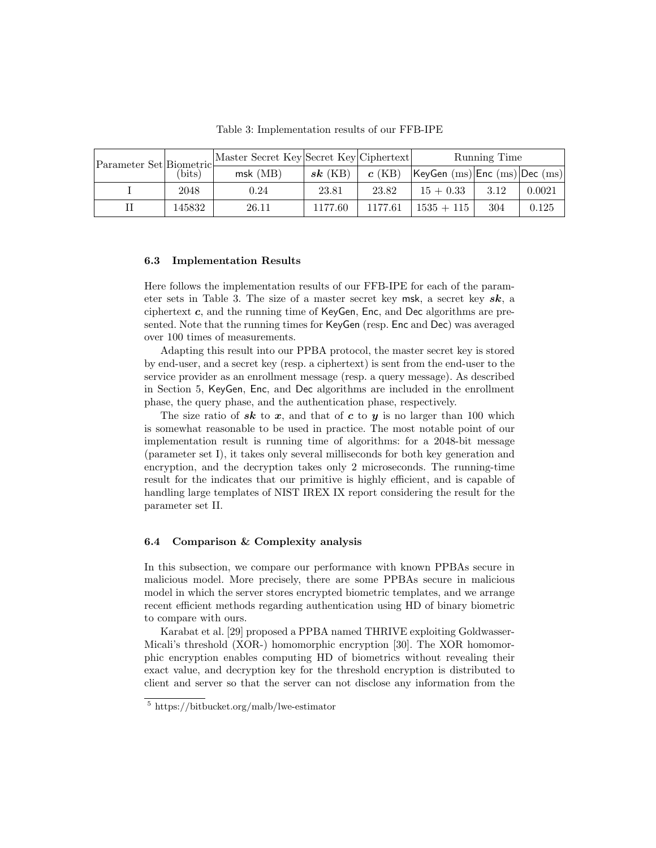| Parameter Set Biometric | (bits) | Master Secret Key Secret Key Ciphertext |           |          | Running Time                  |      |        |  |
|-------------------------|--------|-----------------------------------------|-----------|----------|-------------------------------|------|--------|--|
|                         |        | $msk$ (MB)                              | $sk$ (KB) | $c$ (KB) | KeyGen (ms) Enc (ms) Dec (ms) |      |        |  |
|                         | 2048   | 0.24                                    | 23.81     | 23.82    | $15 + 0.33$                   | 3.12 | 0.0021 |  |
|                         | 145832 | 26.11                                   | 1177.60   | 1177.61  | $1535 + 115$                  | 304  | 0.125  |  |

Table 3: Implementation results of our FFB-IPE

#### 6.3 Implementation Results

Here follows the implementation results of our FFB-IPE for each of the parameter sets in Table 3. The size of a master secret key msk, a secret key  $sk$ , a ciphertext c, and the running time of KeyGen, Enc, and Dec algorithms are presented. Note that the running times for KeyGen (resp. Enc and Dec) was averaged over 100 times of measurements.

Adapting this result into our PPBA protocol, the master secret key is stored by end-user, and a secret key (resp. a ciphertext) is sent from the end-user to the service provider as an enrollment message (resp. a query message). As described in Section 5, KeyGen, Enc, and Dec algorithms are included in the enrollment phase, the query phase, and the authentication phase, respectively.

The size ratio of sk to x, and that of c to y is no larger than 100 which is somewhat reasonable to be used in practice. The most notable point of our implementation result is running time of algorithms: for a 2048-bit message (parameter set I), it takes only several milliseconds for both key generation and encryption, and the decryption takes only 2 microseconds. The running-time result for the indicates that our primitive is highly efficient, and is capable of handling large templates of NIST IREX IX report considering the result for the parameter set II.

#### 6.4 Comparison & Complexity analysis

In this subsection, we compare our performance with known PPBAs secure in malicious model. More precisely, there are some PPBAs secure in malicious model in which the server stores encrypted biometric templates, and we arrange recent efficient methods regarding authentication using HD of binary biometric to compare with ours.

Karabat et al. [29] proposed a PPBA named THRIVE exploiting Goldwasser-Micali's threshold (XOR-) homomorphic encryption [30]. The XOR homomorphic encryption enables computing HD of biometrics without revealing their exact value, and decryption key for the threshold encryption is distributed to client and server so that the server can not disclose any information from the

<sup>5</sup> https://bitbucket.org/malb/lwe-estimator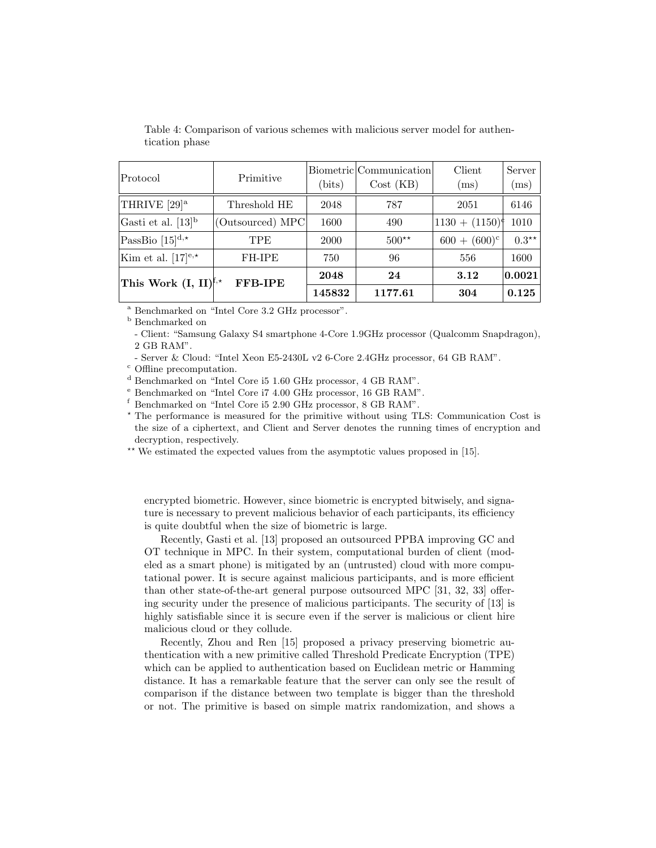| Protocol                                 | Primitive        |        | Biometric Communication | Client                    | Server                      |
|------------------------------------------|------------------|--------|-------------------------|---------------------------|-----------------------------|
|                                          |                  | (bits) | Cost (KB)               | (ms)                      | $\left( \mathrm{ms}\right)$ |
| THRIVE [29] <sup>a</sup>                 | Threshold HE     | 2048   | 787                     | 2051                      | 6146                        |
| Gasti et al. $[13]$ <sup>b</sup>         | (Outsourced) MPC | 1600   | 490                     | $(1130 + (1150)^{\circ})$ | 1010                        |
| PassBio [ $15$ ] <sup>d,*</sup>          | <b>TPE</b>       | 2000   | $500**$                 | $600 + (600)^c$           | $0.3**$                     |
| Kim et al. [17] $e^{i\star}$             | FH-IPE           | 750    | 96                      | 556                       | 1600                        |
| This Work $(I, II)^{\mathfrak{f},\star}$ | <b>FFB-IPE</b>   | 2048   | 24                      | 3.12                      | $\bm{ 0.0021}$              |
|                                          |                  | 145832 | 1177.61                 | 304                       | 0.125                       |

Table 4: Comparison of various schemes with malicious server model for authentication phase

<sup>a</sup> Benchmarked on "Intel Core 3.2 GHz processor".

<sup>b</sup> Benchmarked on

- Client: "Samsung Galaxy S4 smartphone 4-Core 1.9GHz processor (Qualcomm Snapdragon), 2 GB RAM".

- Server & Cloud: "Intel Xeon E5-2430L v2 6-Core 2.4GHz processor, 64 GB RAM".

<sup>c</sup> Offline precomputation.

<sup>d</sup> Benchmarked on "Intel Core i5 1.60 GHz processor, 4 GB RAM".

<sup>e</sup> Benchmarked on "Intel Core i7 4.00 GHz processor, 16 GB RAM".

<sup>f</sup> Benchmarked on "Intel Core i5 2.90 GHz processor, 8 GB RAM".

? The performance is measured for the primitive without using TLS: Communication Cost is the size of a ciphertext, and Client and Server denotes the running times of encryption and decryption, respectively.

\*\* We estimated the expected values from the asymptotic values proposed in [15].

encrypted biometric. However, since biometric is encrypted bitwisely, and signature is necessary to prevent malicious behavior of each participants, its efficiency is quite doubtful when the size of biometric is large.

Recently, Gasti et al. [13] proposed an outsourced PPBA improving GC and OT technique in MPC. In their system, computational burden of client (modeled as a smart phone) is mitigated by an (untrusted) cloud with more computational power. It is secure against malicious participants, and is more efficient than other state-of-the-art general purpose outsourced MPC [31, 32, 33] offering security under the presence of malicious participants. The security of [13] is highly satisfiable since it is secure even if the server is malicious or client hire malicious cloud or they collude.

Recently, Zhou and Ren [15] proposed a privacy preserving biometric authentication with a new primitive called Threshold Predicate Encryption (TPE) which can be applied to authentication based on Euclidean metric or Hamming distance. It has a remarkable feature that the server can only see the result of comparison if the distance between two template is bigger than the threshold or not. The primitive is based on simple matrix randomization, and shows a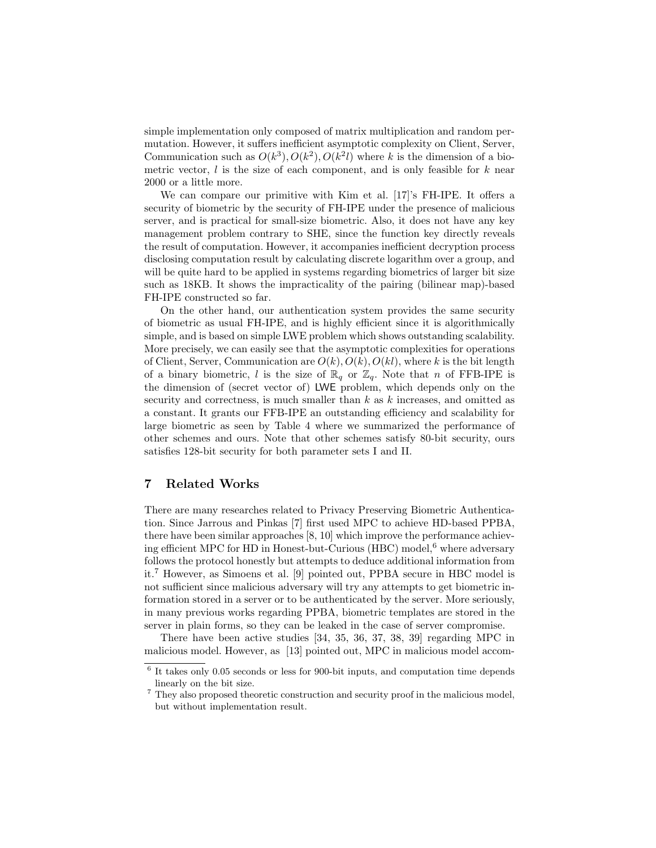simple implementation only composed of matrix multiplication and random permutation. However, it suffers inefficient asymptotic complexity on Client, Server, Communication such as  $O(k^3)$ ,  $O(k^2)$ ,  $O(k^2l)$  where k is the dimension of a biometric vector,  $l$  is the size of each component, and is only feasible for  $k$  near 2000 or a little more.

We can compare our primitive with Kim et al. [17]'s FH-IPE. It offers a security of biometric by the security of FH-IPE under the presence of malicious server, and is practical for small-size biometric. Also, it does not have any key management problem contrary to SHE, since the function key directly reveals the result of computation. However, it accompanies inefficient decryption process disclosing computation result by calculating discrete logarithm over a group, and will be quite hard to be applied in systems regarding biometrics of larger bit size such as 18KB. It shows the impracticality of the pairing (bilinear map)-based FH-IPE constructed so far.

On the other hand, our authentication system provides the same security of biometric as usual FH-IPE, and is highly efficient since it is algorithmically simple, and is based on simple LWE problem which shows outstanding scalability. More precisely, we can easily see that the asymptotic complexities for operations of Client, Server, Communication are  $O(k)$ ,  $O(k)$ ,  $O(kl)$ , where k is the bit length of a binary biometric, l is the size of  $\mathbb{R}_q$  or  $\mathbb{Z}_q$ . Note that n of FFB-IPE is the dimension of (secret vector of) LWE problem, which depends only on the security and correctness, is much smaller than  $k$  as  $k$  increases, and omitted as a constant. It grants our FFB-IPE an outstanding efficiency and scalability for large biometric as seen by Table 4 where we summarized the performance of other schemes and ours. Note that other schemes satisfy 80-bit security, ours satisfies 128-bit security for both parameter sets I and II.

# 7 Related Works

There are many researches related to Privacy Preserving Biometric Authentication. Since Jarrous and Pinkas [7] first used MPC to achieve HD-based PPBA, there have been similar approaches [8, 10] which improve the performance achieving efficient MPC for HD in Honest-but-Curious (HBC) model,<sup>6</sup> where adversary follows the protocol honestly but attempts to deduce additional information from it.<sup>7</sup> However, as Simoens et al. [9] pointed out, PPBA secure in HBC model is not sufficient since malicious adversary will try any attempts to get biometric information stored in a server or to be authenticated by the server. More seriously, in many previous works regarding PPBA, biometric templates are stored in the server in plain forms, so they can be leaked in the case of server compromise.

There have been active studies [34, 35, 36, 37, 38, 39] regarding MPC in malicious model. However, as [13] pointed out, MPC in malicious model accom-

<sup>6</sup> It takes only 0.05 seconds or less for 900-bit inputs, and computation time depends linearly on the bit size.

 $^7$  They also proposed theoretic construction and security proof in the malicious model, but without implementation result.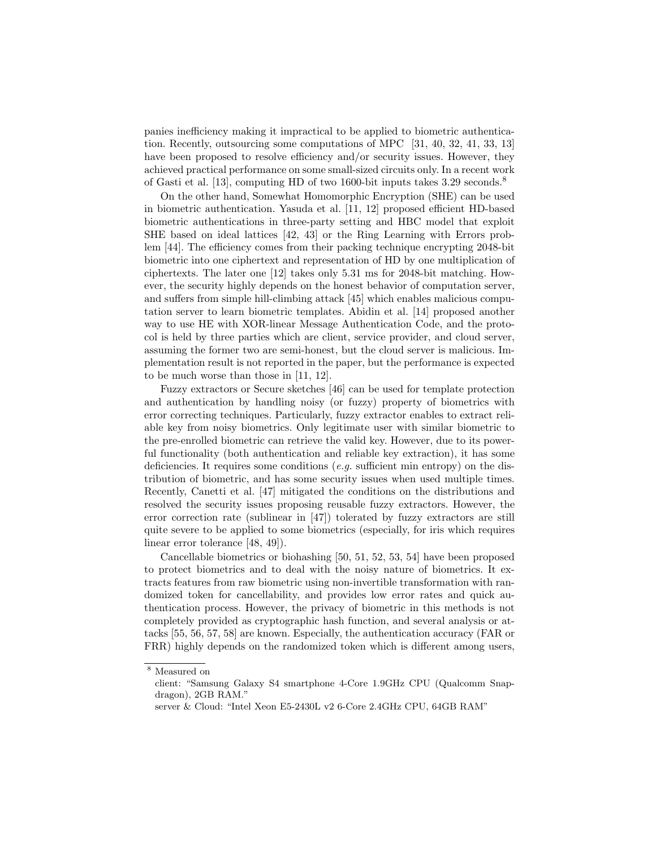panies inefficiency making it impractical to be applied to biometric authentication. Recently, outsourcing some computations of MPC [31, 40, 32, 41, 33, 13] have been proposed to resolve efficiency and/or security issues. However, they achieved practical performance on some small-sized circuits only. In a recent work of Gasti et al. [13], computing HD of two 1600-bit inputs takes 3.29 seconds.<sup>8</sup>

On the other hand, Somewhat Homomorphic Encryption (SHE) can be used in biometric authentication. Yasuda et al. [11, 12] proposed efficient HD-based biometric authentications in three-party setting and HBC model that exploit SHE based on ideal lattices [42, 43] or the Ring Learning with Errors problem [44]. The efficiency comes from their packing technique encrypting 2048-bit biometric into one ciphertext and representation of HD by one multiplication of ciphertexts. The later one [12] takes only 5.31 ms for 2048-bit matching. However, the security highly depends on the honest behavior of computation server, and suffers from simple hill-climbing attack [45] which enables malicious computation server to learn biometric templates. Abidin et al. [14] proposed another way to use HE with XOR-linear Message Authentication Code, and the protocol is held by three parties which are client, service provider, and cloud server, assuming the former two are semi-honest, but the cloud server is malicious. Implementation result is not reported in the paper, but the performance is expected to be much worse than those in [11, 12].

Fuzzy extractors or Secure sketches [46] can be used for template protection and authentication by handling noisy (or fuzzy) property of biometrics with error correcting techniques. Particularly, fuzzy extractor enables to extract reliable key from noisy biometrics. Only legitimate user with similar biometric to the pre-enrolled biometric can retrieve the valid key. However, due to its powerful functionality (both authentication and reliable key extraction), it has some deficiencies. It requires some conditions (e.g. sufficient min entropy) on the distribution of biometric, and has some security issues when used multiple times. Recently, Canetti et al. [47] mitigated the conditions on the distributions and resolved the security issues proposing reusable fuzzy extractors. However, the error correction rate (sublinear in [47]) tolerated by fuzzy extractors are still quite severe to be applied to some biometrics (especially, for iris which requires linear error tolerance [48, 49]).

Cancellable biometrics or biohashing [50, 51, 52, 53, 54] have been proposed to protect biometrics and to deal with the noisy nature of biometrics. It extracts features from raw biometric using non-invertible transformation with randomized token for cancellability, and provides low error rates and quick authentication process. However, the privacy of biometric in this methods is not completely provided as cryptographic hash function, and several analysis or attacks [55, 56, 57, 58] are known. Especially, the authentication accuracy (FAR or FRR) highly depends on the randomized token which is different among users,

<sup>8</sup> Measured on

client: "Samsung Galaxy S4 smartphone 4-Core 1.9GHz CPU (Qualcomm Snapdragon), 2GB RAM."

server & Cloud: "Intel Xeon E5-2430L v2 6-Core 2.4GHz CPU, 64GB RAM"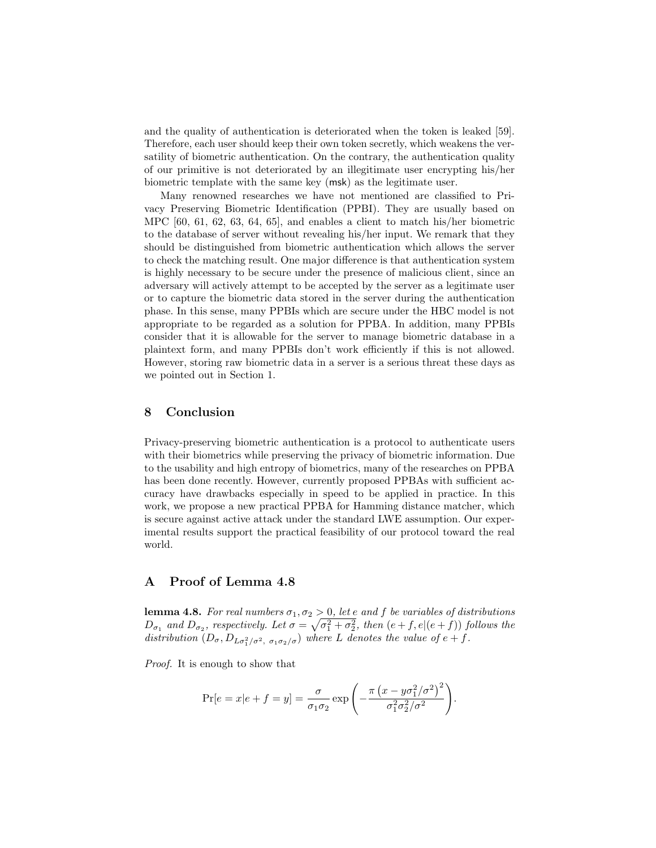and the quality of authentication is deteriorated when the token is leaked [59]. Therefore, each user should keep their own token secretly, which weakens the versatility of biometric authentication. On the contrary, the authentication quality of our primitive is not deteriorated by an illegitimate user encrypting his/her biometric template with the same key (msk) as the legitimate user.

Many renowned researches we have not mentioned are classified to Privacy Preserving Biometric Identification (PPBI). They are usually based on MPC [60, 61, 62, 63, 64, 65], and enables a client to match his/her biometric to the database of server without revealing his/her input. We remark that they should be distinguished from biometric authentication which allows the server to check the matching result. One major difference is that authentication system is highly necessary to be secure under the presence of malicious client, since an adversary will actively attempt to be accepted by the server as a legitimate user or to capture the biometric data stored in the server during the authentication phase. In this sense, many PPBIs which are secure under the HBC model is not appropriate to be regarded as a solution for PPBA. In addition, many PPBIs consider that it is allowable for the server to manage biometric database in a plaintext form, and many PPBIs don't work efficiently if this is not allowed. However, storing raw biometric data in a server is a serious threat these days as we pointed out in Section 1.

# 8 Conclusion

Privacy-preserving biometric authentication is a protocol to authenticate users with their biometrics while preserving the privacy of biometric information. Due to the usability and high entropy of biometrics, many of the researches on PPBA has been done recently. However, currently proposed PPBAs with sufficient accuracy have drawbacks especially in speed to be applied in practice. In this work, we propose a new practical PPBA for Hamming distance matcher, which is secure against active attack under the standard LWE assumption. Our experimental results support the practical feasibility of our protocol toward the real world.

# A Proof of Lemma 4.8

**lemma 4.8.** For real numbers  $\sigma_1, \sigma_2 > 0$ , let e and f be variables of distributions  $D_{\sigma_1}$  and  $D_{\sigma_2}$ , respectively. Let  $\sigma = \sqrt{\sigma_1^2 + \sigma_2^2}$ , then  $(e + f, e | (e + f))$  follows the distribution  $(D_{\sigma}, D_{L\sigma_1^2/\sigma^2, \sigma_1\sigma_2/\sigma})$  where L denotes the value of  $e+f$ .

Proof. It is enough to show that

$$
\Pr[e = x | e + f = y] = \frac{\sigma}{\sigma_1 \sigma_2} \exp\left(-\frac{\pi (x - y \sigma_1^2/\sigma^2)^2}{\sigma_1^2 \sigma_2^2/\sigma^2}\right).
$$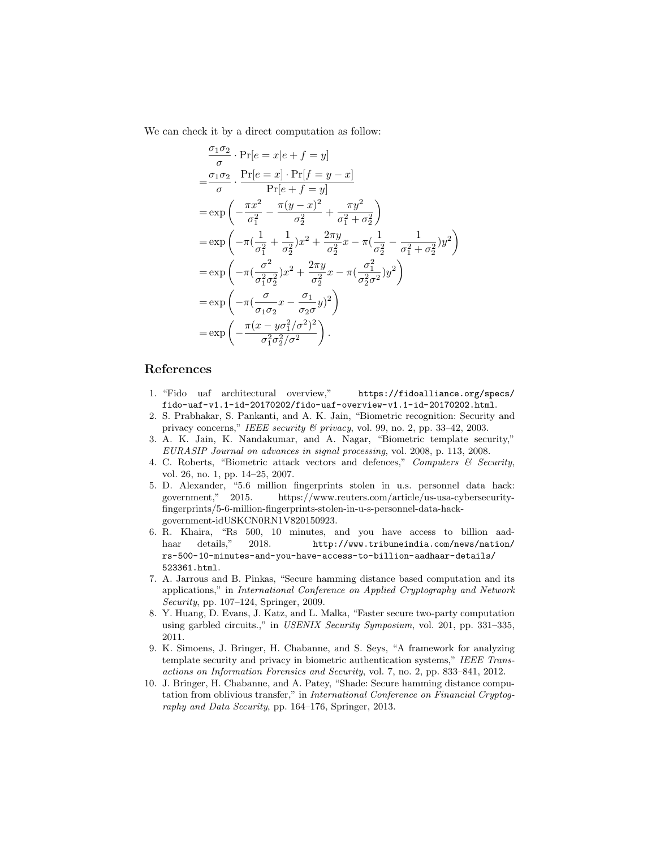We can check it by a direct computation as follow:

$$
\frac{\sigma_1 \sigma_2}{\sigma} \cdot \Pr[e = x | e + f = y] \n= \frac{\sigma_1 \sigma_2}{\sigma} \cdot \frac{\Pr[e = x] \cdot \Pr[f = y - x]}{\Pr[e + f = y]} \n= \exp \left( -\frac{\pi x^2}{\sigma_1^2} - \frac{\pi (y - x)^2}{\sigma_2^2} + \frac{\pi y^2}{\sigma_1^2 + \sigma_2^2} \right) \n= \exp \left( -\pi (\frac{1}{\sigma_1^2} + \frac{1}{\sigma_2^2}) x^2 + \frac{2\pi y}{\sigma_2^2} x - \pi (\frac{1}{\sigma_2^2} - \frac{1}{\sigma_1^2 + \sigma_2^2}) y^2 \right) \n= \exp \left( -\pi (\frac{\sigma^2}{\sigma_1^2 \sigma_2^2}) x^2 + \frac{2\pi y}{\sigma_2^2} x - \pi (\frac{\sigma_1^2}{\sigma_2^2 \sigma^2}) y^2 \right) \n= \exp \left( -\pi (\frac{\sigma}{\sigma_1 \sigma_2} x - \frac{\sigma_1}{\sigma_2 \sigma}) y^2 \right) \n= \exp \left( -\frac{\pi (x - y \sigma_1^2 / \sigma^2)^2}{\sigma_1^2 \sigma_2^2 / \sigma^2} \right).
$$

# References

- 1. "Fido uaf architectural overview," https://fidoalliance.org/specs/ fido-uaf-v1.1-id-20170202/fido-uaf-overview-v1.1-id-20170202.html.
- 2. S. Prabhakar, S. Pankanti, and A. K. Jain, "Biometric recognition: Security and privacy concerns," IEEE security & privacy, vol. 99, no. 2, pp. 33-42, 2003.
- 3. A. K. Jain, K. Nandakumar, and A. Nagar, "Biometric template security," EURASIP Journal on advances in signal processing, vol. 2008, p. 113, 2008.
- 4. C. Roberts, "Biometric attack vectors and defences," Computers  $\mathcal C$  Security, vol. 26, no. 1, pp. 14–25, 2007.
- 5. D. Alexander, "5.6 million fingerprints stolen in u.s. personnel data hack: government," 2015. https://www.reuters.com/article/us-usa-cybersecurityfingerprints/5-6-million-fingerprints-stolen-in-u-s-personnel-data-hackgovernment-idUSKCN0RN1V820150923.
- 6. R. Khaira, "Rs 500, 10 minutes, and you have access to billion aadhaar details," 2018. http://www.tribuneindia.com/news/nation/ rs-500-10-minutes-and-you-have-access-to-billion-aadhaar-details/ 523361.html.
- 7. A. Jarrous and B. Pinkas, "Secure hamming distance based computation and its applications," in International Conference on Applied Cryptography and Network Security, pp. 107–124, Springer, 2009.
- 8. Y. Huang, D. Evans, J. Katz, and L. Malka, "Faster secure two-party computation using garbled circuits.," in USENIX Security Symposium, vol. 201, pp. 331–335, 2011.
- 9. K. Simoens, J. Bringer, H. Chabanne, and S. Seys, "A framework for analyzing template security and privacy in biometric authentication systems," IEEE Transactions on Information Forensics and Security, vol. 7, no. 2, pp. 833–841, 2012.
- 10. J. Bringer, H. Chabanne, and A. Patey, "Shade: Secure hamming distance computation from oblivious transfer," in International Conference on Financial Cryptography and Data Security, pp. 164–176, Springer, 2013.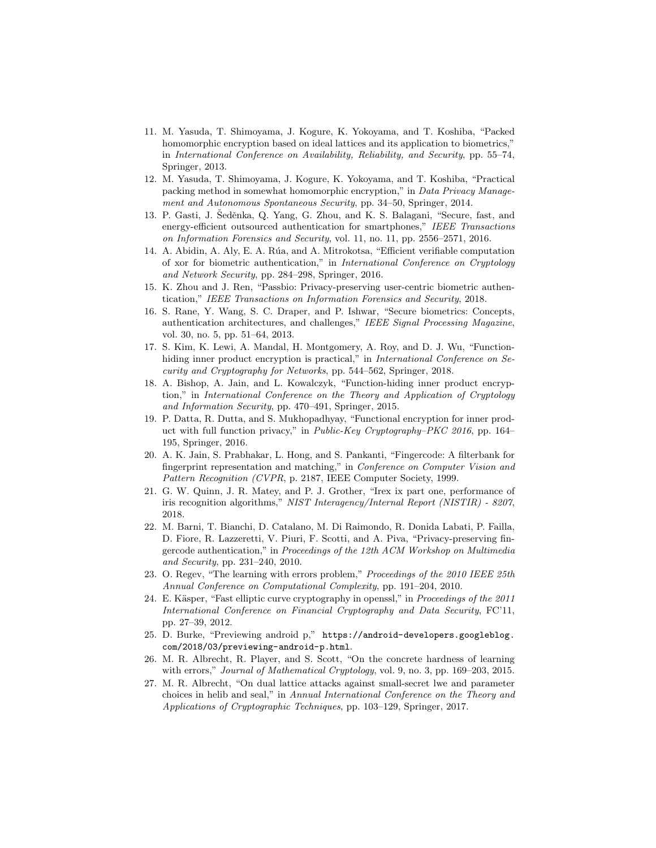- 11. M. Yasuda, T. Shimoyama, J. Kogure, K. Yokoyama, and T. Koshiba, "Packed homomorphic encryption based on ideal lattices and its application to biometrics," in International Conference on Availability, Reliability, and Security, pp. 55–74, Springer, 2013.
- 12. M. Yasuda, T. Shimoyama, J. Kogure, K. Yokoyama, and T. Koshiba, "Practical packing method in somewhat homomorphic encryption," in Data Privacy Management and Autonomous Spontaneous Security, pp. 34–50, Springer, 2014.
- 13. P. Gasti, J. Seděnka, Q. Yang, G. Zhou, and K. S. Balagani, "Secure, fast, and energy-efficient outsourced authentication for smartphones," IEEE Transactions on Information Forensics and Security, vol. 11, no. 11, pp. 2556–2571, 2016.
- 14. A. Abidin, A. Aly, E. A. Rúa, and A. Mitrokotsa, "Efficient verifiable computation of xor for biometric authentication," in International Conference on Cryptology and Network Security, pp. 284–298, Springer, 2016.
- 15. K. Zhou and J. Ren, "Passbio: Privacy-preserving user-centric biometric authentication," IEEE Transactions on Information Forensics and Security, 2018.
- 16. S. Rane, Y. Wang, S. C. Draper, and P. Ishwar, "Secure biometrics: Concepts, authentication architectures, and challenges," IEEE Signal Processing Magazine, vol. 30, no. 5, pp. 51–64, 2013.
- 17. S. Kim, K. Lewi, A. Mandal, H. Montgomery, A. Roy, and D. J. Wu, "Functionhiding inner product encryption is practical," in *International Conference on Se*curity and Cryptography for Networks, pp. 544–562, Springer, 2018.
- 18. A. Bishop, A. Jain, and L. Kowalczyk, "Function-hiding inner product encryption," in International Conference on the Theory and Application of Cryptology and Information Security, pp. 470–491, Springer, 2015.
- 19. P. Datta, R. Dutta, and S. Mukhopadhyay, "Functional encryption for inner product with full function privacy," in Public-Key Cryptography–PKC 2016, pp. 164– 195, Springer, 2016.
- 20. A. K. Jain, S. Prabhakar, L. Hong, and S. Pankanti, "Fingercode: A filterbank for fingerprint representation and matching," in Conference on Computer Vision and Pattern Recognition (CVPR, p. 2187, IEEE Computer Society, 1999.
- 21. G. W. Quinn, J. R. Matey, and P. J. Grother, "Irex ix part one, performance of iris recognition algorithms," NIST Interagency/Internal Report (NISTIR) - 8207, 2018.
- 22. M. Barni, T. Bianchi, D. Catalano, M. Di Raimondo, R. Donida Labati, P. Failla, D. Fiore, R. Lazzeretti, V. Piuri, F. Scotti, and A. Piva, "Privacy-preserving fingercode authentication," in Proceedings of the 12th ACM Workshop on Multimedia and Security, pp. 231–240, 2010.
- 23. O. Regev, "The learning with errors problem," *Proceedings of the 2010 IEEE 25th* Annual Conference on Computational Complexity, pp. 191–204, 2010.
- 24. E. Käsper, "Fast elliptic curve cryptography in openssl," in Proceedings of the 2011 International Conference on Financial Cryptography and Data Security, FC'11, pp. 27–39, 2012.
- 25. D. Burke, "Previewing android p," https://android-developers.googleblog. com/2018/03/previewing-android-p.html.
- 26. M. R. Albrecht, R. Player, and S. Scott, "On the concrete hardness of learning with errors," Journal of Mathematical Cryptology, vol. 9, no. 3, pp. 169–203, 2015.
- 27. M. R. Albrecht, "On dual lattice attacks against small-secret lwe and parameter choices in helib and seal," in Annual International Conference on the Theory and Applications of Cryptographic Techniques, pp. 103–129, Springer, 2017.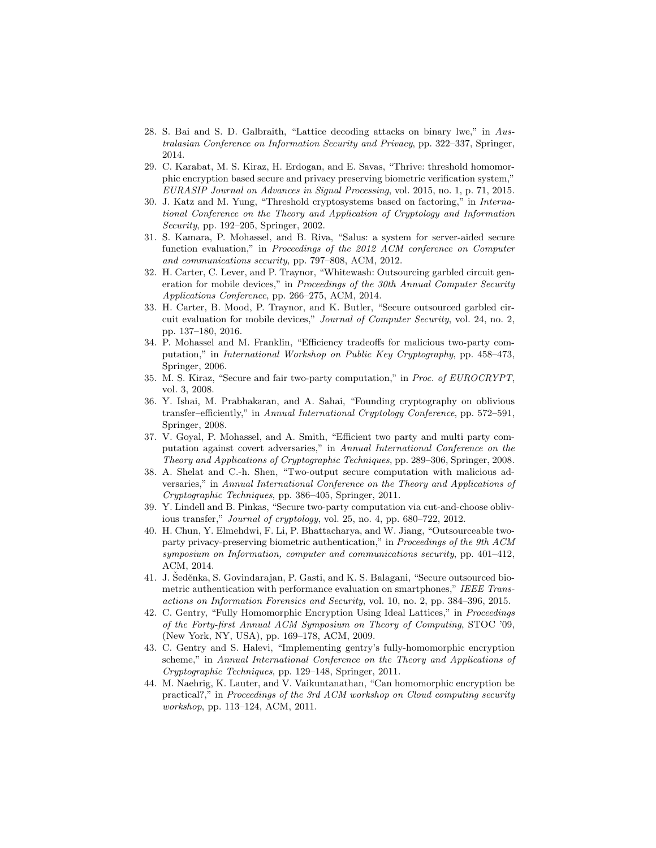- 28. S. Bai and S. D. Galbraith, "Lattice decoding attacks on binary lwe," in Australasian Conference on Information Security and Privacy, pp. 322–337, Springer, 2014.
- 29. C. Karabat, M. S. Kiraz, H. Erdogan, and E. Savas, "Thrive: threshold homomorphic encryption based secure and privacy preserving biometric verification system," EURASIP Journal on Advances in Signal Processing, vol. 2015, no. 1, p. 71, 2015.
- 30. J. Katz and M. Yung, "Threshold cryptosystems based on factoring," in International Conference on the Theory and Application of Cryptology and Information Security, pp. 192–205, Springer, 2002.
- 31. S. Kamara, P. Mohassel, and B. Riva, "Salus: a system for server-aided secure function evaluation," in Proceedings of the 2012 ACM conference on Computer and communications security, pp. 797–808, ACM, 2012.
- 32. H. Carter, C. Lever, and P. Traynor, "Whitewash: Outsourcing garbled circuit generation for mobile devices," in Proceedings of the 30th Annual Computer Security Applications Conference, pp. 266–275, ACM, 2014.
- 33. H. Carter, B. Mood, P. Traynor, and K. Butler, "Secure outsourced garbled circuit evaluation for mobile devices," Journal of Computer Security, vol. 24, no. 2, pp. 137–180, 2016.
- 34. P. Mohassel and M. Franklin, "Efficiency tradeoffs for malicious two-party computation," in International Workshop on Public Key Cryptography, pp. 458–473, Springer, 2006.
- 35. M. S. Kiraz, "Secure and fair two-party computation," in Proc. of EUROCRYPT, vol. 3, 2008.
- 36. Y. Ishai, M. Prabhakaran, and A. Sahai, "Founding cryptography on oblivious transfer–efficiently," in Annual International Cryptology Conference, pp. 572–591, Springer, 2008.
- 37. V. Goyal, P. Mohassel, and A. Smith, "Efficient two party and multi party computation against covert adversaries," in Annual International Conference on the Theory and Applications of Cryptographic Techniques, pp. 289–306, Springer, 2008.
- 38. A. Shelat and C.-h. Shen, "Two-output secure computation with malicious adversaries," in Annual International Conference on the Theory and Applications of Cryptographic Techniques, pp. 386–405, Springer, 2011.
- 39. Y. Lindell and B. Pinkas, "Secure two-party computation via cut-and-choose oblivious transfer," Journal of cryptology, vol. 25, no. 4, pp. 680–722, 2012.
- 40. H. Chun, Y. Elmehdwi, F. Li, P. Bhattacharya, and W. Jiang, "Outsourceable twoparty privacy-preserving biometric authentication," in Proceedings of the 9th ACM symposium on Information, computer and communications security, pp. 401–412, ACM, 2014.
- 41. J. Šeděnka, S. Govindarajan, P. Gasti, and K. S. Balagani, "Secure outsourced biometric authentication with performance evaluation on smartphones," IEEE Transactions on Information Forensics and Security, vol. 10, no. 2, pp. 384–396, 2015.
- 42. C. Gentry, "Fully Homomorphic Encryption Using Ideal Lattices," in Proceedings of the Forty-first Annual ACM Symposium on Theory of Computing, STOC '09, (New York, NY, USA), pp. 169–178, ACM, 2009.
- 43. C. Gentry and S. Halevi, "Implementing gentry's fully-homomorphic encryption scheme," in Annual International Conference on the Theory and Applications of Cryptographic Techniques, pp. 129–148, Springer, 2011.
- 44. M. Naehrig, K. Lauter, and V. Vaikuntanathan, "Can homomorphic encryption be practical?," in Proceedings of the 3rd ACM workshop on Cloud computing security workshop, pp. 113–124, ACM, 2011.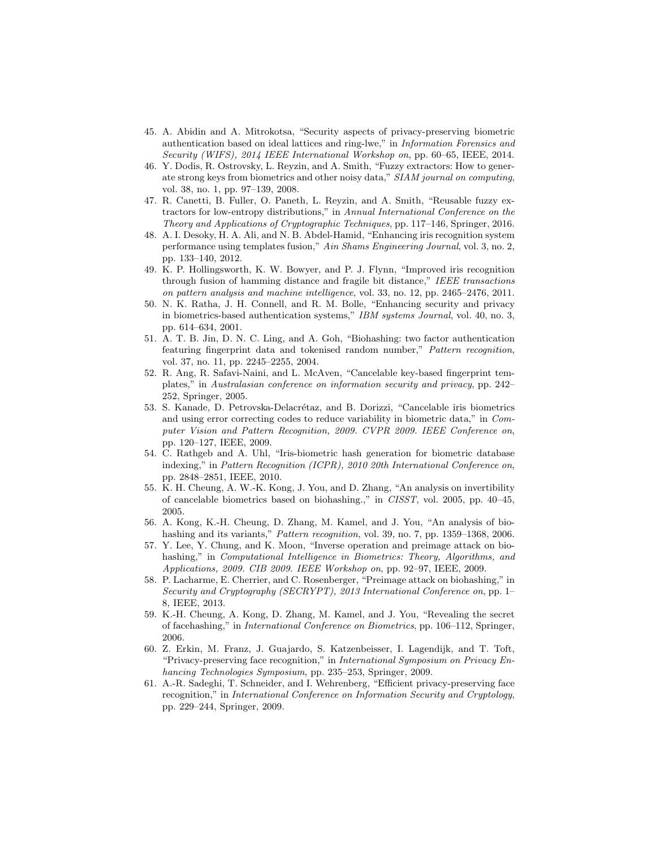- 45. A. Abidin and A. Mitrokotsa, "Security aspects of privacy-preserving biometric authentication based on ideal lattices and ring-lwe," in Information Forensics and Security (WIFS), 2014 IEEE International Workshop on, pp. 60–65, IEEE, 2014.
- 46. Y. Dodis, R. Ostrovsky, L. Reyzin, and A. Smith, "Fuzzy extractors: How to generate strong keys from biometrics and other noisy data," SIAM journal on computing, vol. 38, no. 1, pp. 97–139, 2008.
- 47. R. Canetti, B. Fuller, O. Paneth, L. Reyzin, and A. Smith, "Reusable fuzzy extractors for low-entropy distributions," in Annual International Conference on the Theory and Applications of Cryptographic Techniques, pp. 117–146, Springer, 2016.
- 48. A. I. Desoky, H. A. Ali, and N. B. Abdel-Hamid, "Enhancing iris recognition system performance using templates fusion," Ain Shams Engineering Journal, vol. 3, no. 2, pp. 133–140, 2012.
- 49. K. P. Hollingsworth, K. W. Bowyer, and P. J. Flynn, "Improved iris recognition through fusion of hamming distance and fragile bit distance," IEEE transactions on pattern analysis and machine intelligence, vol. 33, no. 12, pp. 2465–2476, 2011.
- 50. N. K. Ratha, J. H. Connell, and R. M. Bolle, "Enhancing security and privacy in biometrics-based authentication systems," IBM systems Journal, vol. 40, no. 3, pp. 614–634, 2001.
- 51. A. T. B. Jin, D. N. C. Ling, and A. Goh, "Biohashing: two factor authentication featuring fingerprint data and tokenised random number," Pattern recognition, vol. 37, no. 11, pp. 2245–2255, 2004.
- 52. R. Ang, R. Safavi-Naini, and L. McAven, "Cancelable key-based fingerprint templates," in Australasian conference on information security and privacy, pp. 242– 252, Springer, 2005.
- 53. S. Kanade, D. Petrovska-Delacrétaz, and B. Dorizzi, "Cancelable iris biometrics and using error correcting codes to reduce variability in biometric data," in Computer Vision and Pattern Recognition, 2009. CVPR 2009. IEEE Conference on, pp. 120–127, IEEE, 2009.
- 54. C. Rathgeb and A. Uhl, "Iris-biometric hash generation for biometric database indexing," in Pattern Recognition (ICPR), 2010 20th International Conference on, pp. 2848–2851, IEEE, 2010.
- 55. K. H. Cheung, A. W.-K. Kong, J. You, and D. Zhang, "An analysis on invertibility of cancelable biometrics based on biohashing.," in CISST, vol. 2005, pp. 40–45, 2005.
- 56. A. Kong, K.-H. Cheung, D. Zhang, M. Kamel, and J. You, "An analysis of biohashing and its variants," *Pattern recognition*, vol. 39, no. 7, pp. 1359–1368, 2006.
- 57. Y. Lee, Y. Chung, and K. Moon, "Inverse operation and preimage attack on biohashing," in *Computational Intelligence in Biometrics: Theory, Algorithms, and* Applications, 2009. CIB 2009. IEEE Workshop on, pp. 92–97, IEEE, 2009.
- 58. P. Lacharme, E. Cherrier, and C. Rosenberger, "Preimage attack on biohashing," in Security and Cryptography (SECRYPT), 2013 International Conference on, pp. 1– 8, IEEE, 2013.
- 59. K.-H. Cheung, A. Kong, D. Zhang, M. Kamel, and J. You, "Revealing the secret of facehashing," in International Conference on Biometrics, pp. 106–112, Springer, 2006.
- 60. Z. Erkin, M. Franz, J. Guajardo, S. Katzenbeisser, I. Lagendijk, and T. Toft, "Privacy-preserving face recognition," in International Symposium on Privacy Enhancing Technologies Symposium, pp. 235–253, Springer, 2009.
- 61. A.-R. Sadeghi, T. Schneider, and I. Wehrenberg, "Efficient privacy-preserving face recognition," in International Conference on Information Security and Cryptology, pp. 229–244, Springer, 2009.